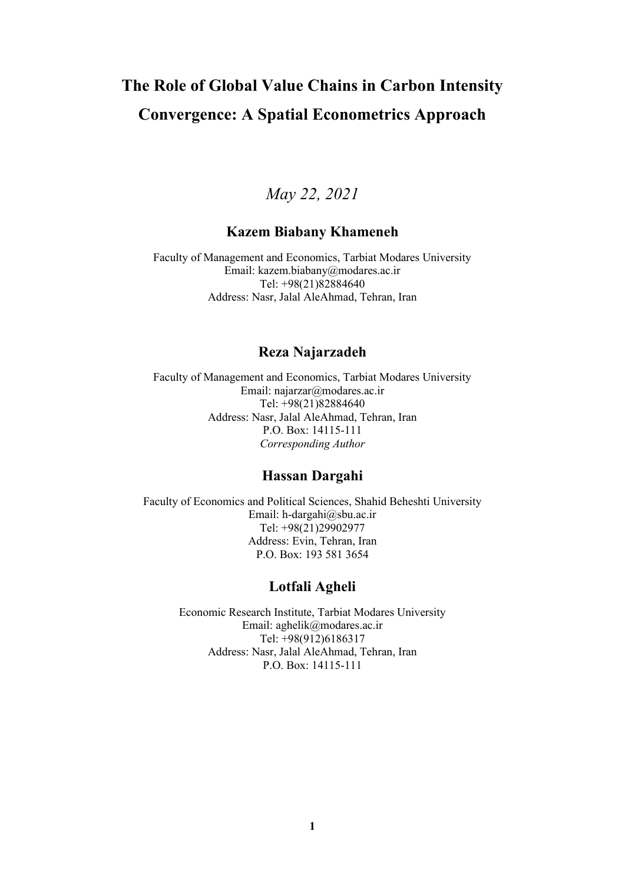# **The Role of Global Value Chains in Carbon Intensity Convergence: A Spatial Econometrics Approach**

### *May 22, 2021*

#### **Kazem Biabany Khameneh**

Faculty of Management and Economics, Tarbiat Modares University Email: kazem.biabany@modares.ac.ir Tel: +98(21)82884640 Address: Nasr, Jalal AleAhmad, Tehran, Iran

#### **Reza Najarzadeh**

Faculty of Management and Economics, Tarbiat Modares University Email: najarzar@modares.ac.ir Tel: +98(21)82884640 Address: Nasr, Jalal AleAhmad, Tehran, Iran P.O. Box: 14115-111 *Corresponding Author*

#### **Hassan Dargahi**

Faculty of Economics and Political Sciences, Shahid Beheshti University Email: h-dargahi@sbu.ac.ir Tel: +98(21)29902977 Address: Evin, Tehran, Iran P.O. Box: 193 581 3654

#### **Lotfali Agheli**

Economic Research Institute, Tarbiat Modares University Email: aghelik@modares.ac.ir Tel: +98(912)6186317 Address: Nasr, Jalal AleAhmad, Tehran, Iran P.O. Box: 14115-111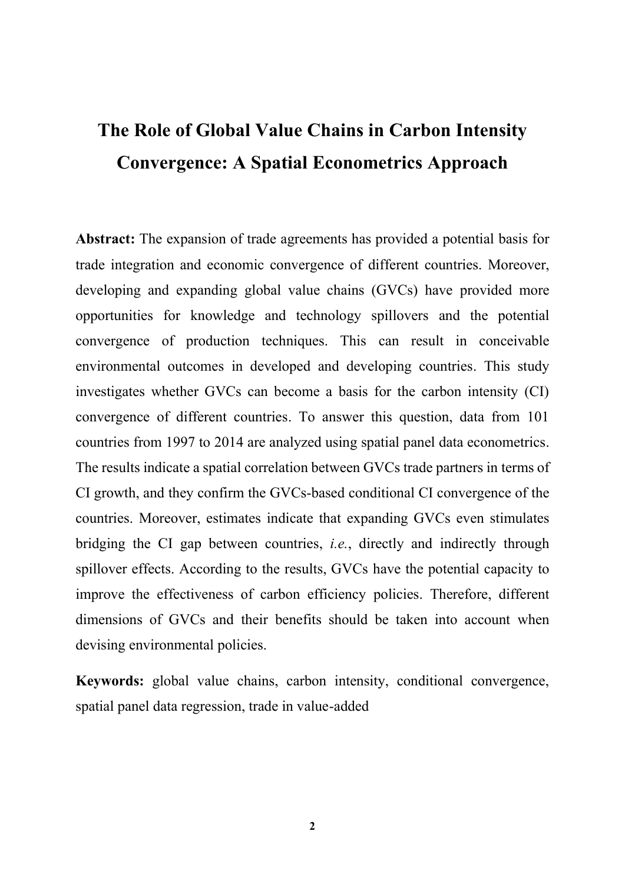# **The Role of Global Value Chains in Carbon Intensity Convergence: A Spatial Econometrics Approach**

**Abstract:** The expansion of trade agreements has provided a potential basis for trade integration and economic convergence of different countries. Moreover, developing and expanding global value chains (GVCs) have provided more opportunities for knowledge and technology spillovers and the potential convergence of production techniques. This can result in conceivable environmental outcomes in developed and developing countries. This study investigates whether GVCs can become a basis for the carbon intensity (CI) convergence of different countries. To answer this question, data from 101 countries from 1997 to 2014 are analyzed using spatial panel data econometrics. The results indicate a spatial correlation between GVCs trade partners in terms of CI growth, and they confirm the GVCs-based conditional CI convergence of the countries. Moreover, estimates indicate that expanding GVCs even stimulates bridging the CI gap between countries, *i.e.*, directly and indirectly through spillover effects. According to the results, GVCs have the potential capacity to improve the effectiveness of carbon efficiency policies. Therefore, different dimensions of GVCs and their benefits should be taken into account when devising environmental policies.

**Keywords:** global value chains, carbon intensity, conditional convergence, spatial panel data regression, trade in value-added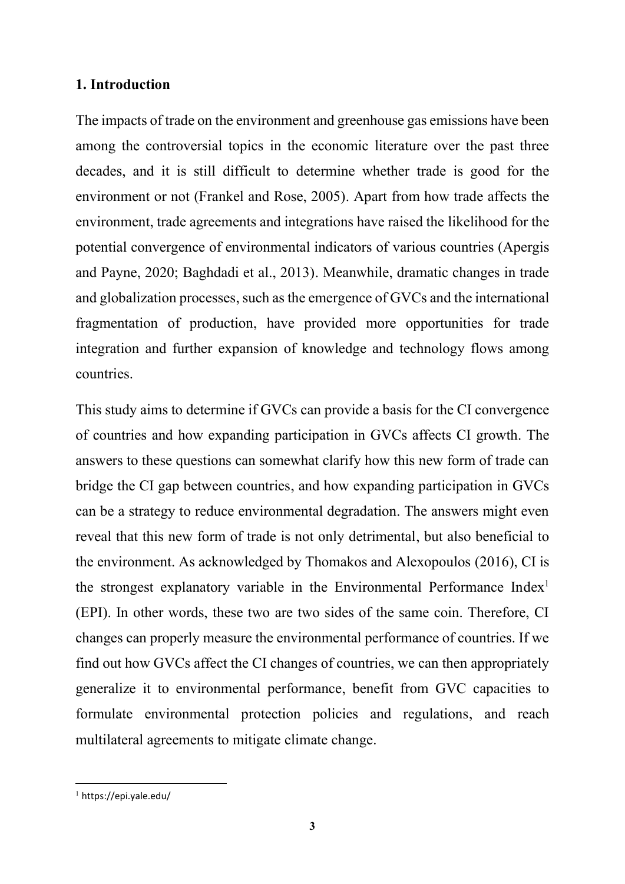#### **1. Introduction**

The impacts of trade on the environment and greenhouse gas emissions have been among the controversial topics in the economic literature over the past three decades, and it is still difficult to determine whether trade is good for the environment or not (Frankel and Rose, 2005). Apart from how trade affects the environment, trade agreements and integrations have raised the likelihood for the potential convergence of environmental indicators of various countries (Apergis and Payne, 2020; Baghdadi et al., 2013). Meanwhile, dramatic changes in trade and globalization processes, such as the emergence of GVCs and the international fragmentation of production, have provided more opportunities for trade integration and further expansion of knowledge and technology flows among countries.

This study aims to determine if GVCs can provide a basis for the CI convergence of countries and how expanding participation in GVCs affects CI growth. The answers to these questions can somewhat clarify how this new form of trade can bridge the CI gap between countries, and how expanding participation in GVCs can be a strategy to reduce environmental degradation. The answers might even reveal that this new form of trade is not only detrimental, but also beneficial to the environment. As acknowledged by Thomakos and Alexopoulos (2016), CI is the strongest explanatory variable in the Environmental Performance Index<sup>1</sup> (EPI). In other words, these two are two sides of the same coin. Therefore, CI changes can properly measure the environmental performance of countries. If we find out how GVCs affect the CI changes of countries, we can then appropriately generalize it to environmental performance, benefit from GVC capacities to formulate environmental protection policies and regulations, and reach multilateral agreements to mitigate climate change.

<sup>1</sup> https://epi.yale.edu/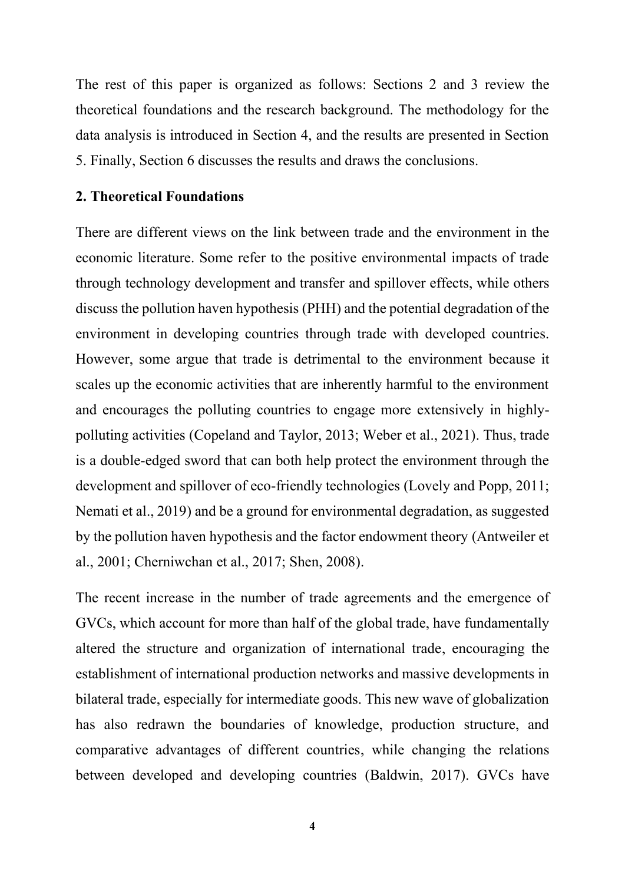The rest of this paper is organized as follows: Sections 2 and 3 review the theoretical foundations and the research background. The methodology for the data analysis is introduced in Section 4, and the results are presented in Section 5. Finally, Section 6 discusses the results and draws the conclusions.

#### **2. Theoretical Foundations**

There are different views on the link between trade and the environment in the economic literature. Some refer to the positive environmental impacts of trade through technology development and transfer and spillover effects, while others discuss the pollution haven hypothesis (PHH) and the potential degradation of the environment in developing countries through trade with developed countries. However, some argue that trade is detrimental to the environment because it scales up the economic activities that are inherently harmful to the environment and encourages the polluting countries to engage more extensively in highlypolluting activities (Copeland and Taylor, 2013; Weber et al., 2021). Thus, trade is a double-edged sword that can both help protect the environment through the development and spillover of eco-friendly technologies (Lovely and Popp, 2011; Nemati et al., 2019) and be a ground for environmental degradation, as suggested by the pollution haven hypothesis and the factor endowment theory (Antweiler et al., 2001; Cherniwchan et al., 2017; Shen, 2008).

The recent increase in the number of trade agreements and the emergence of GVCs, which account for more than half of the global trade, have fundamentally altered the structure and organization of international trade, encouraging the establishment of international production networks and massive developments in bilateral trade, especially for intermediate goods. This new wave of globalization has also redrawn the boundaries of knowledge, production structure, and comparative advantages of different countries, while changing the relations between developed and developing countries (Baldwin, 2017). GVCs have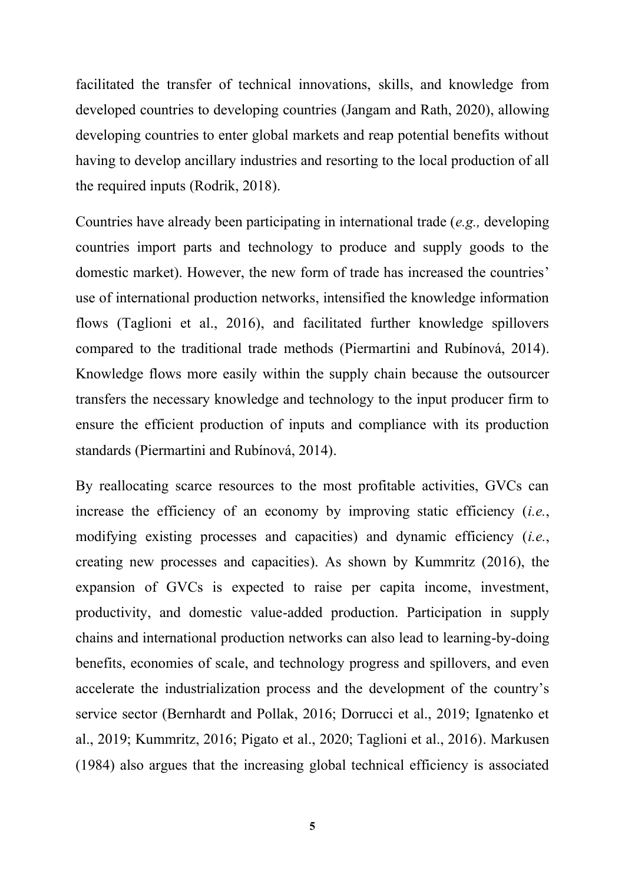facilitated the transfer of technical innovations, skills, and knowledge from developed countries to developing countries (Jangam and Rath, 2020), allowing developing countries to enter global markets and reap potential benefits without having to develop ancillary industries and resorting to the local production of all the required inputs (Rodrik, 2018).

Countries have already been participating in international trade (*e.g.,* developing countries import parts and technology to produce and supply goods to the domestic market). However, the new form of trade has increased the countries' use of international production networks, intensified the knowledge information flows (Taglioni et al., 2016), and facilitated further knowledge spillovers compared to the traditional trade methods (Piermartini and Rubínová, 2014). Knowledge flows more easily within the supply chain because the outsourcer transfers the necessary knowledge and technology to the input producer firm to ensure the efficient production of inputs and compliance with its production standards (Piermartini and Rubínová, 2014).

By reallocating scarce resources to the most profitable activities, GVCs can increase the efficiency of an economy by improving static efficiency (*i.e.*, modifying existing processes and capacities) and dynamic efficiency (*i.e.*, creating new processes and capacities). As shown by Kummritz (2016), the expansion of GVCs is expected to raise per capita income, investment, productivity, and domestic value-added production. Participation in supply chains and international production networks can also lead to learning-by-doing benefits, economies of scale, and technology progress and spillovers, and even accelerate the industrialization process and the development of the country's service sector (Bernhardt and Pollak, 2016; Dorrucci et al., 2019; Ignatenko et al., 2019; Kummritz, 2016; Pigato et al., 2020; Taglioni et al., 2016). Markusen (1984) also argues that the increasing global technical efficiency is associated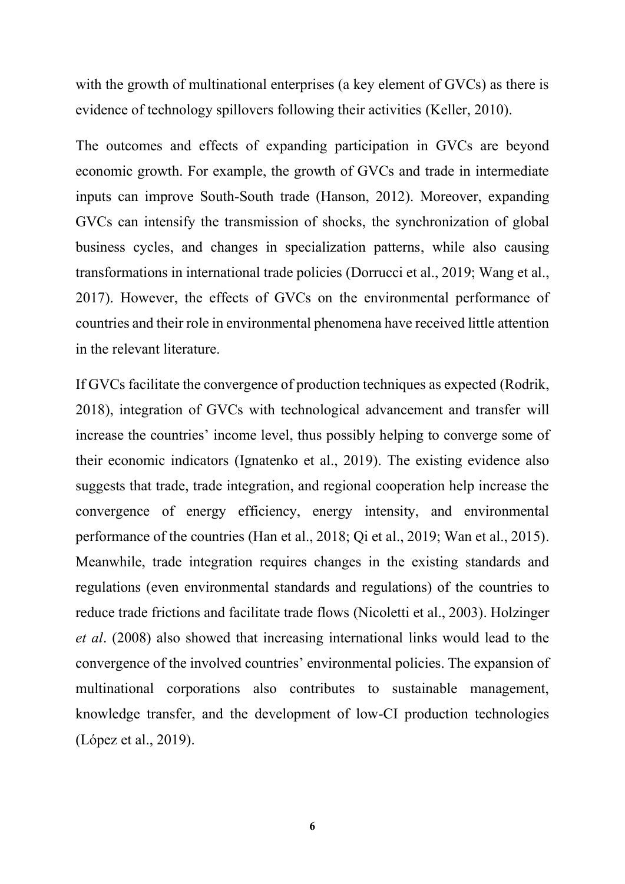with the growth of multinational enterprises (a key element of GVCs) as there is evidence of technology spillovers following their activities (Keller, 2010).

The outcomes and effects of expanding participation in GVCs are beyond economic growth. For example, the growth of GVCs and trade in intermediate inputs can improve South-South trade (Hanson, 2012). Moreover, expanding GVCs can intensify the transmission of shocks, the synchronization of global business cycles, and changes in specialization patterns, while also causing transformations in international trade policies (Dorrucci et al., 2019; Wang et al., 2017). However, the effects of GVCs on the environmental performance of countries and their role in environmental phenomena have received little attention in the relevant literature.

If GVCs facilitate the convergence of production techniques as expected (Rodrik, 2018), integration of GVCs with technological advancement and transfer will increase the countries' income level, thus possibly helping to converge some of their economic indicators (Ignatenko et al., 2019). The existing evidence also suggests that trade, trade integration, and regional cooperation help increase the convergence of energy efficiency, energy intensity, and environmental performance of the countries (Han et al., 2018; Qi et al., 2019; Wan et al., 2015). Meanwhile, trade integration requires changes in the existing standards and regulations (even environmental standards and regulations) of the countries to reduce trade frictions and facilitate trade flows (Nicoletti et al., 2003). Holzinger *et al*. (2008) also showed that increasing international links would lead to the convergence of the involved countries' environmental policies. The expansion of multinational corporations also contributes to sustainable management, knowledge transfer, and the development of low-CI production technologies (López et al., 2019).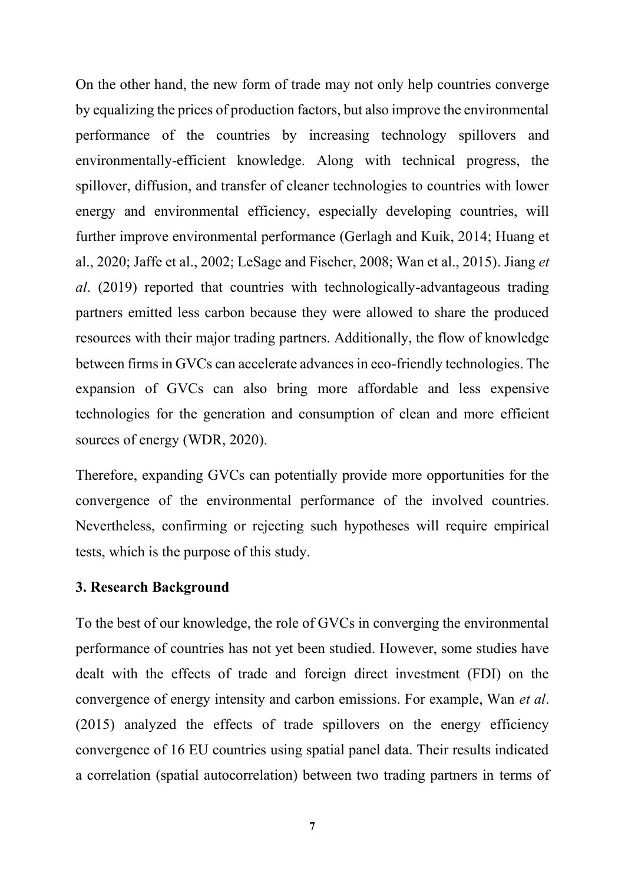On the other hand, the new form of trade may not only help countries converge by equalizing the prices of production factors, but also improve the environmental performance of the countries by increasing technology spillovers and environmentally-efficient knowledge. Along with technical progress, the spillover, diffusion, and transfer of cleaner technologies to countries with lower energy and environmental efficiency, especially developing countries, will further improve environmental performance (Gerlagh and Kuik, 2014; Huang et al., 2020; Jaffe et al., 2002; LeSage and Fischer, 2008; Wan et al., 2015). Jiang *et al*. (2019) reported that countries with technologically-advantageous trading partners emitted less carbon because they were allowed to share the produced resources with their major trading partners. Additionally, the flow of knowledge between firms in GVCs can accelerate advances in eco-friendly technologies. The expansion of GVCs can also bring more affordable and less expensive technologies for the generation and consumption of clean and more efficient sources of energy (WDR, 2020).

Therefore, expanding GVCs can potentially provide more opportunities for the convergence of the environmental performance of the involved countries. Nevertheless, confirming or rejecting such hypotheses will require empirical tests, which is the purpose of this study.

#### **3. Research Background**

To the best of our knowledge, the role of GVCs in converging the environmental performance of countries has not yet been studied. However, some studies have dealt with the effects of trade and foreign direct investment (FDI) on the convergence of energy intensity and carbon emissions. For example, Wan *et al*. (2015) analyzed the effects of trade spillovers on the energy efficiency convergence of 16 EU countries using spatial panel data. Their results indicated a correlation (spatial autocorrelation) between two trading partners in terms of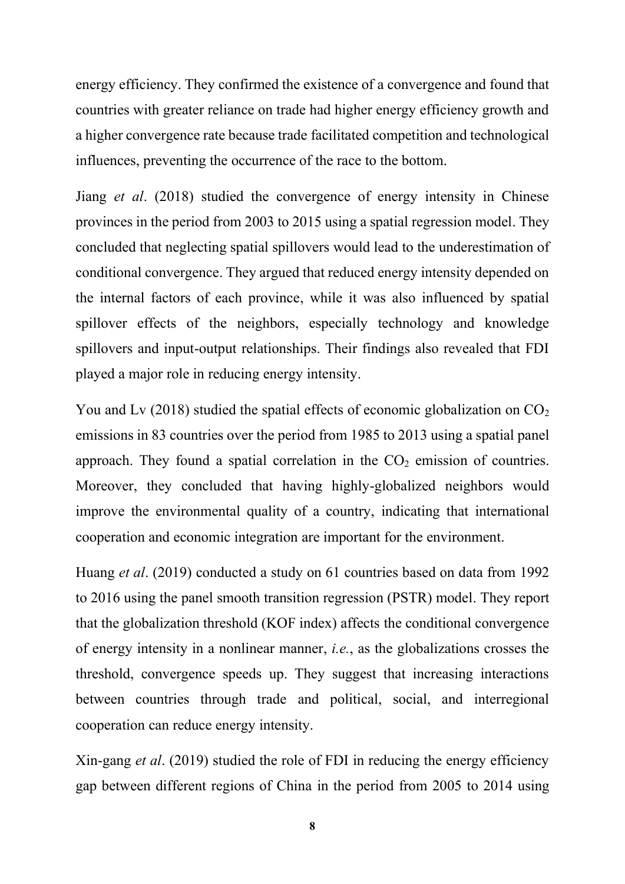energy efficiency. They confirmed the existence of a convergence and found that countries with greater reliance on trade had higher energy efficiency growth and a higher convergence rate because trade facilitated competition and technological influences, preventing the occurrence of the race to the bottom.

Jiang *et al*. (2018) studied the convergence of energy intensity in Chinese provinces in the period from 2003 to 2015 using a spatial regression model. They concluded that neglecting spatial spillovers would lead to the underestimation of conditional convergence. They argued that reduced energy intensity depended on the internal factors of each province, while it was also influenced by spatial spillover effects of the neighbors, especially technology and knowledge spillovers and input-output relationships. Their findings also revealed that FDI played a major role in reducing energy intensity.

You and Lv (2018) studied the spatial effects of economic globalization on  $CO<sub>2</sub>$ emissions in 83 countries over the period from 1985 to 2013 using a spatial panel approach. They found a spatial correlation in the  $CO<sub>2</sub>$  emission of countries. Moreover, they concluded that having highly-globalized neighbors would improve the environmental quality of a country, indicating that international cooperation and economic integration are important for the environment.

Huang *et al*. (2019) conducted a study on 61 countries based on data from 1992 to 2016 using the panel smooth transition regression (PSTR) model. They report that the globalization threshold (KOF index) affects the conditional convergence of energy intensity in a nonlinear manner, *i.e.*, as the globalizations crosses the threshold, convergence speeds up. They suggest that increasing interactions between countries through trade and political, social, and interregional cooperation can reduce energy intensity.

Xin-gang *et al*. (2019) studied the role of FDI in reducing the energy efficiency gap between different regions of China in the period from 2005 to 2014 using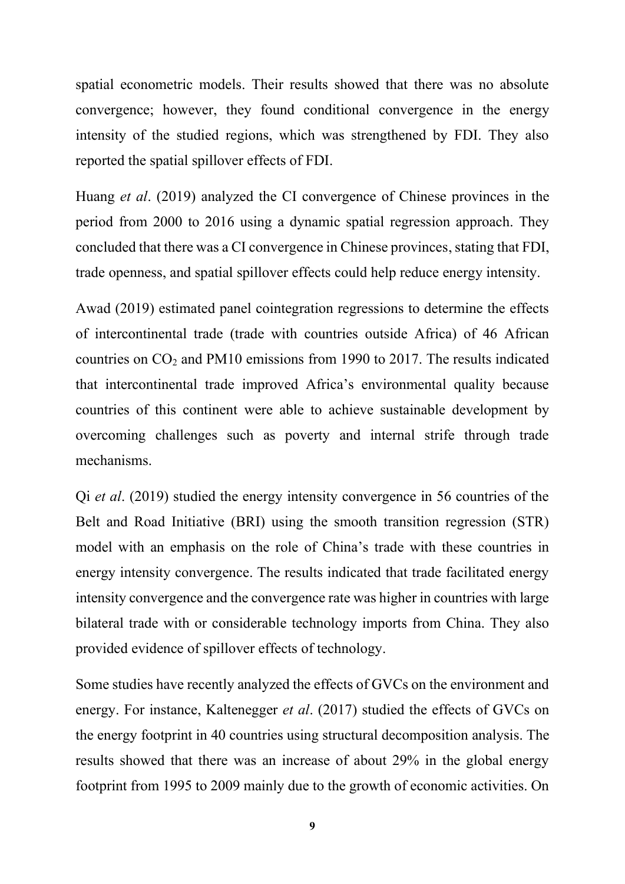spatial econometric models. Their results showed that there was no absolute convergence; however, they found conditional convergence in the energy intensity of the studied regions, which was strengthened by FDI. They also reported the spatial spillover effects of FDI.

Huang *et al*. (2019) analyzed the CI convergence of Chinese provinces in the period from 2000 to 2016 using a dynamic spatial regression approach. They concluded that there was a CI convergence in Chinese provinces, stating that FDI, trade openness, and spatial spillover effects could help reduce energy intensity.

Awad (2019) estimated panel cointegration regressions to determine the effects of intercontinental trade (trade with countries outside Africa) of 46 African countries on  $CO<sub>2</sub>$  and PM10 emissions from 1990 to 2017. The results indicated that intercontinental trade improved Africa's environmental quality because countries of this continent were able to achieve sustainable development by overcoming challenges such as poverty and internal strife through trade mechanisms.

Qi *et al*. (2019) studied the energy intensity convergence in 56 countries of the Belt and Road Initiative (BRI) using the smooth transition regression (STR) model with an emphasis on the role of China's trade with these countries in energy intensity convergence. The results indicated that trade facilitated energy intensity convergence and the convergence rate was higher in countries with large bilateral trade with or considerable technology imports from China. They also provided evidence of spillover effects of technology.

Some studies have recently analyzed the effects of GVCs on the environment and energy. For instance, Kaltenegger *et al*. (2017) studied the effects of GVCs on the energy footprint in 40 countries using structural decomposition analysis. The results showed that there was an increase of about 29% in the global energy footprint from 1995 to 2009 mainly due to the growth of economic activities. On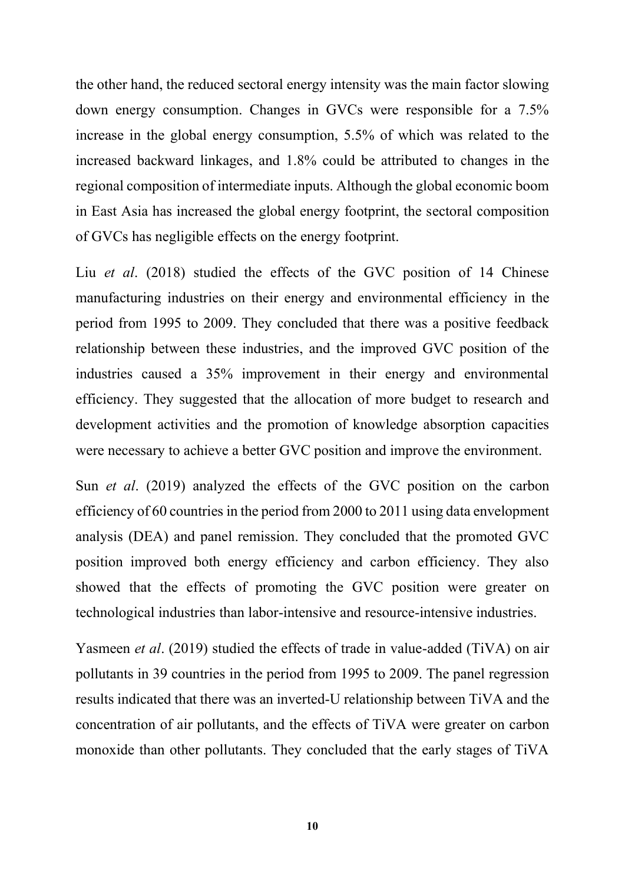the other hand, the reduced sectoral energy intensity was the main factor slowing down energy consumption. Changes in GVCs were responsible for a 7.5% increase in the global energy consumption, 5.5% of which was related to the increased backward linkages, and 1.8% could be attributed to changes in the regional composition of intermediate inputs. Although the global economic boom in East Asia has increased the global energy footprint, the sectoral composition of GVCs has negligible effects on the energy footprint.

Liu *et al*. (2018) studied the effects of the GVC position of 14 Chinese manufacturing industries on their energy and environmental efficiency in the period from 1995 to 2009. They concluded that there was a positive feedback relationship between these industries, and the improved GVC position of the industries caused a 35% improvement in their energy and environmental efficiency. They suggested that the allocation of more budget to research and development activities and the promotion of knowledge absorption capacities were necessary to achieve a better GVC position and improve the environment.

Sun *et al*. (2019) analyzed the effects of the GVC position on the carbon efficiency of 60 countries in the period from 2000 to 2011 using data envelopment analysis (DEA) and panel remission. They concluded that the promoted GVC position improved both energy efficiency and carbon efficiency. They also showed that the effects of promoting the GVC position were greater on technological industries than labor-intensive and resource-intensive industries.

Yasmeen *et al*. (2019) studied the effects of trade in value-added (TiVA) on air pollutants in 39 countries in the period from 1995 to 2009. The panel regression results indicated that there was an inverted-U relationship between TiVA and the concentration of air pollutants, and the effects of TiVA were greater on carbon monoxide than other pollutants. They concluded that the early stages of TiVA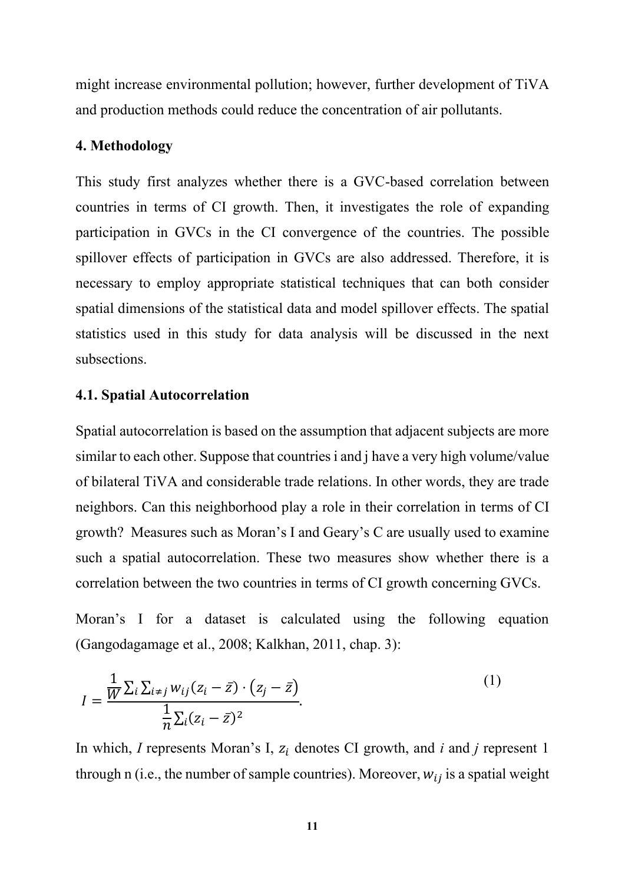might increase environmental pollution; however, further development of TiVA and production methods could reduce the concentration of air pollutants.

#### **4. Methodology**

This study first analyzes whether there is a GVC-based correlation between countries in terms of CI growth. Then, it investigates the role of expanding participation in GVCs in the CI convergence of the countries. The possible spillover effects of participation in GVCs are also addressed. Therefore, it is necessary to employ appropriate statistical techniques that can both consider spatial dimensions of the statistical data and model spillover effects. The spatial statistics used in this study for data analysis will be discussed in the next subsections.

#### **4.1. Spatial Autocorrelation**

Spatial autocorrelation is based on the assumption that adjacent subjects are more similar to each other. Suppose that countries i and j have a very high volume/value of bilateral TiVA and considerable trade relations. In other words, they are trade neighbors. Can this neighborhood play a role in their correlation in terms of CI growth? Measures such as Moran's I and Geary's C are usually used to examine such a spatial autocorrelation. These two measures show whether there is a correlation between the two countries in terms of CI growth concerning GVCs.

Moran's I for a dataset is calculated using the following equation (Gangodagamage et al., 2008; Kalkhan, 2011, chap. 3):

$$
I = \frac{\frac{1}{W} \sum_{i} \sum_{i \neq j} w_{ij} (z_i - \bar{z}) \cdot (z_j - \bar{z})}{\frac{1}{n} \sum_{i} (z_i - \bar{z})^2}.
$$
 (1)

In which, *I* represents Moran's I,  $z_i$  denotes CI growth, and *i* and *j* represent 1 through n (i.e., the number of sample countries). Moreover,  $w_{ij}$  is a spatial weight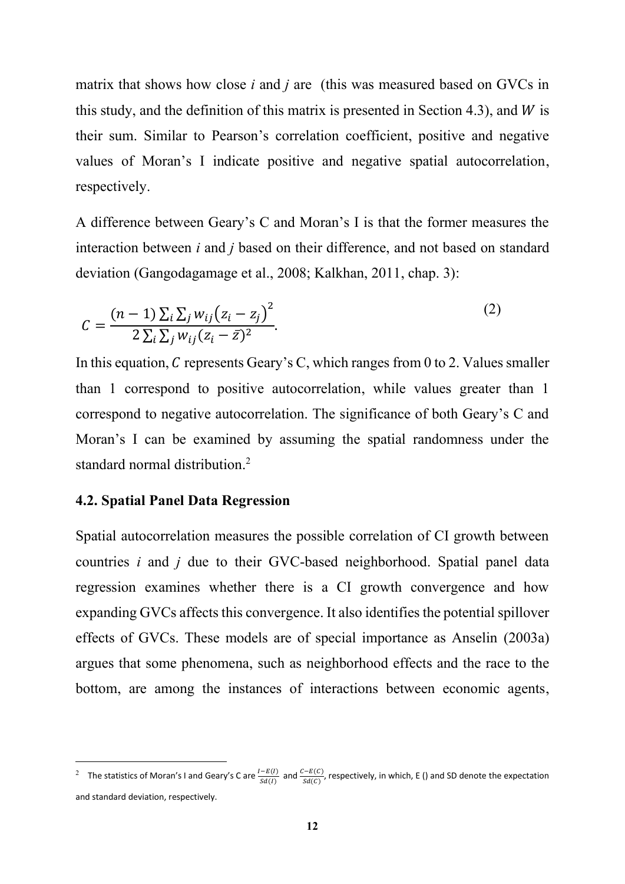matrix that shows how close *i* and *j* are (this was measured based on GVCs in this study, and the definition of this matrix is presented in Section 4.3), and  $W$  is their sum. Similar to Pearson's correlation coefficient, positive and negative values of Moran's I indicate positive and negative spatial autocorrelation, respectively.

A difference between Geary's C and Moran's I is that the former measures the interaction between *i* and *j* based on their difference, and not based on standard deviation (Gangodagamage et al., 2008; Kalkhan, 2011, chap. 3):

$$
C = \frac{(n-1)\sum_{i}\sum_{j}w_{ij}(z_i - z_j)^2}{2\sum_{i}\sum_{j}w_{ij}(z_i - \bar{z})^2}.
$$
 (2)

In this equation, C represents Geary's C, which ranges from 0 to 2. Values smaller than 1 correspond to positive autocorrelation, while values greater than 1 correspond to negative autocorrelation. The significance of both Geary's C and Moran's I can be examined by assuming the spatial randomness under the standard normal distribution.<sup>2</sup>

#### **4.2. Spatial Panel Data Regression**

Spatial autocorrelation measures the possible correlation of CI growth between countries *i* and *j* due to their GVC-based neighborhood. Spatial panel data regression examines whether there is a CI growth convergence and how expanding GVCs affects this convergence. It also identifies the potential spillover effects of GVCs. These models are of special importance as Anselin (2003a) argues that some phenomena, such as neighborhood effects and the race to the bottom, are among the instances of interactions between economic agents,

<sup>&</sup>lt;sup>2</sup> The statistics of Moran's I and Geary's C are  $\frac{I-E(I)}{Sd(I)}$  and  $\frac{C-E(C)}{Sd(C)}$ , respectively, in which, E () and SD denote the expectation and standard deviation, respectively.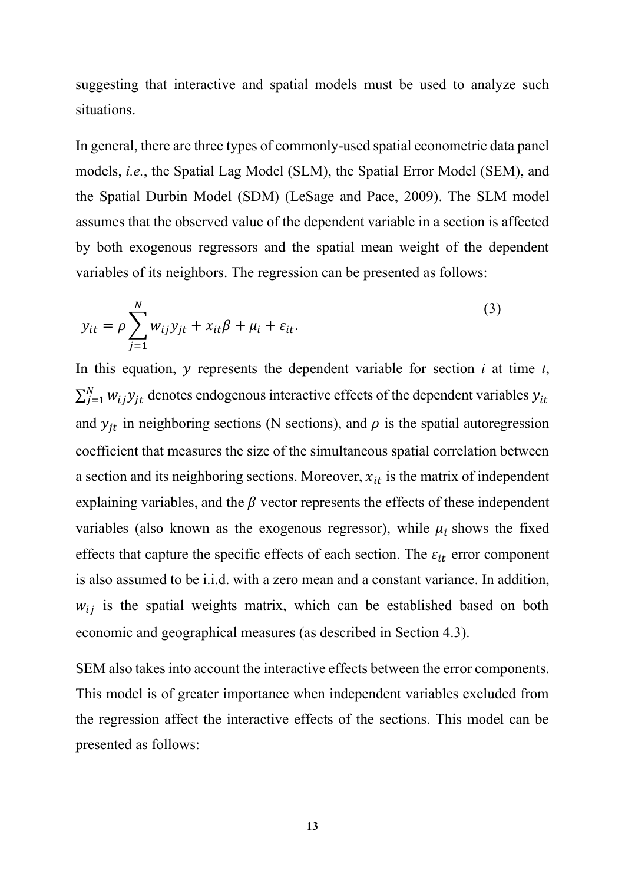suggesting that interactive and spatial models must be used to analyze such situations.

In general, there are three types of commonly-used spatial econometric data panel models, *i.e.*, the Spatial Lag Model (SLM), the Spatial Error Model (SEM), and the Spatial Durbin Model (SDM) (LeSage and Pace, 2009). The SLM model assumes that the observed value of the dependent variable in a section is affected by both exogenous regressors and the spatial mean weight of the dependent variables of its neighbors. The regression can be presented as follows:

$$
y_{it} = \rho \sum_{j=1}^{N} w_{ij} y_{jt} + x_{it} \beta + \mu_i + \varepsilon_{it}.
$$
 (3)

In this equation,  $y$  represents the dependent variable for section  $i$  at time  $t$ ,  $\sum_{j=1}^{N} w_{ij} y_{jt}$  denotes endogenous interactive effects of the dependent variables  $y_{it}$ and  $y_{jt}$  in neighboring sections (N sections), and  $\rho$  is the spatial autoregression coefficient that measures the size of the simultaneous spatial correlation between a section and its neighboring sections. Moreover,  $x_{it}$  is the matrix of independent explaining variables, and the  $\beta$  vector represents the effects of these independent variables (also known as the exogenous regressor), while  $\mu_i$  shows the fixed effects that capture the specific effects of each section. The  $\varepsilon_{it}$  error component is also assumed to be i.i.d. with a zero mean and a constant variance. In addition,  $w_{ij}$  is the spatial weights matrix, which can be established based on both economic and geographical measures (as described in Section 4.3).

SEM also takes into account the interactive effects between the error components. This model is of greater importance when independent variables excluded from the regression affect the interactive effects of the sections. This model can be presented as follows: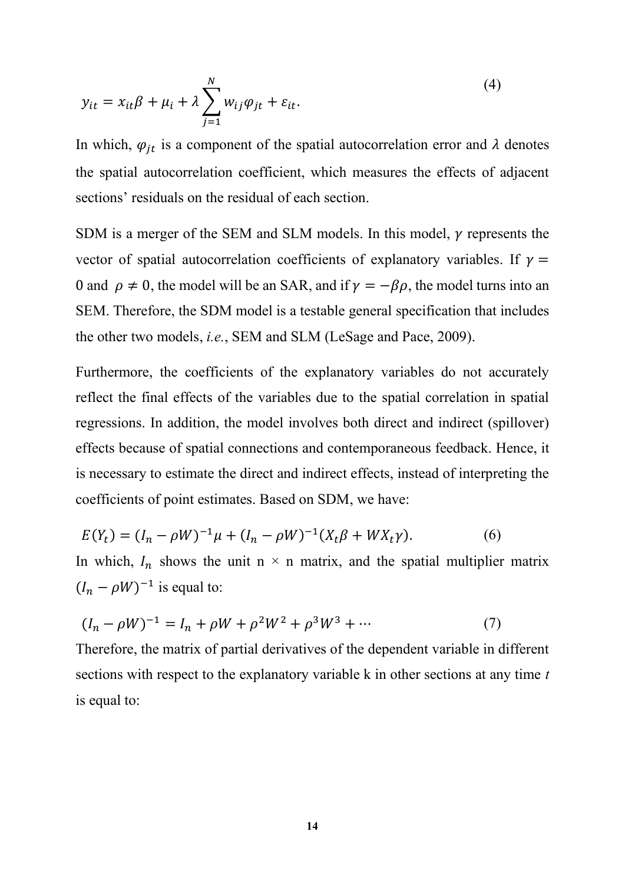$$
y_{it} = x_{it}\beta + \mu_i + \lambda \sum_{j=1}^{N} w_{ij}\varphi_{jt} + \varepsilon_{it}.
$$
\n(4)

In which,  $\varphi_{jt}$  is a component of the spatial autocorrelation error and  $\lambda$  denotes the spatial autocorrelation coefficient, which measures the effects of adjacent sections' residuals on the residual of each section.

SDM is a merger of the SEM and SLM models. In this model,  $\gamma$  represents the vector of spatial autocorrelation coefficients of explanatory variables. If  $\gamma =$ 0 and  $\rho \neq 0$ , the model will be an SAR, and if  $\gamma = -\beta \rho$ , the model turns into an SEM. Therefore, the SDM model is a testable general specification that includes the other two models, *i.e.*, SEM and SLM (LeSage and Pace, 2009).

Furthermore, the coefficients of the explanatory variables do not accurately reflect the final effects of the variables due to the spatial correlation in spatial regressions. In addition, the model involves both direct and indirect (spillover) effects because of spatial connections and contemporaneous feedback. Hence, it is necessary to estimate the direct and indirect effects, instead of interpreting the coefficients of point estimates. Based on SDM, we have:

$$
E(Y_t) = (I_n - \rho W)^{-1} \mu + (I_n - \rho W)^{-1} (X_t \beta + W X_t \gamma).
$$
 (6)

In which,  $I_n$  shows the unit n  $\times$  n matrix, and the spatial multiplier matrix  $(I_n - \rho W)^{-1}$  is equal to:

$$
(I_n - \rho W)^{-1} = I_n + \rho W + \rho^2 W^2 + \rho^3 W^3 + \cdots
$$
 (7)

Therefore, the matrix of partial derivatives of the dependent variable in different sections with respect to the explanatory variable k in other sections at any time *t* is equal to: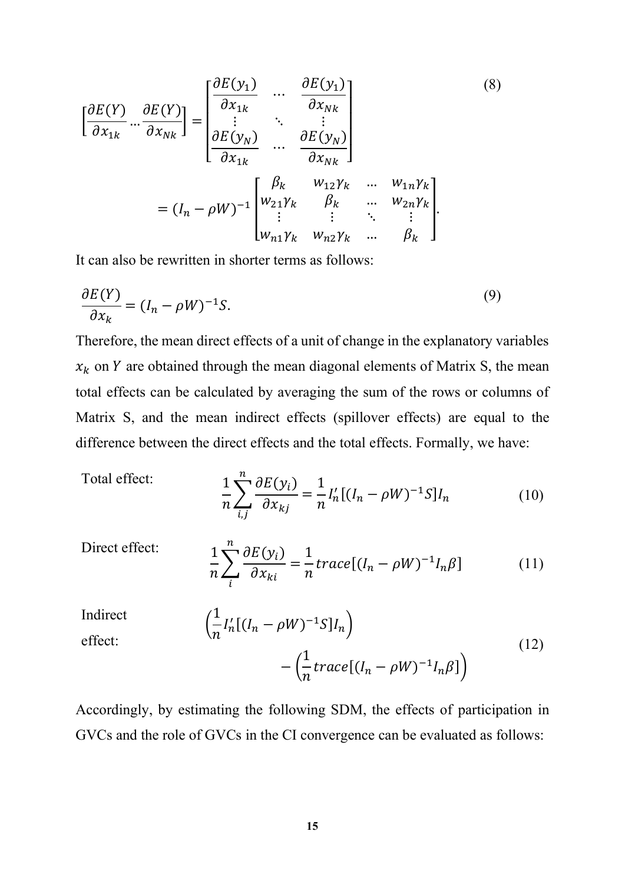$$
\begin{bmatrix}\n\frac{\partial E(Y)}{\partial x_{1k}} \dots \frac{\partial E(Y)}{\partial x_{Nk}}\n\end{bmatrix} = \begin{bmatrix}\n\frac{\partial E(y_1)}{\partial x_{1k}} \dots \frac{\partial E(y_1)}{\partial x_{Nk}} \\
\vdots \vdots \ddots \vdots \\
\frac{\partial E(y_N)}{\partial x_{1k}} \dots \frac{\partial E(y_N)}{\partial x_{Nk}}\n\end{bmatrix}
$$
\n
$$
= (I_n - \rho W)^{-1} \begin{bmatrix}\n\beta_k & w_{12} \gamma_k & \dots & w_{1n} \gamma_k \\
w_{21} \gamma_k & \beta_k & \dots & w_{2n} \gamma_k \\
\vdots & \vdots & \ddots & \vdots \\
w_{n1} \gamma_k & w_{n2} \gamma_k & \dots & \beta_k\n\end{bmatrix}.
$$
\n(8)

It can also be rewritten in shorter terms as follows:

$$
\frac{\partial E(Y)}{\partial x_k} = (I_n - \rho W)^{-1} S. \tag{9}
$$

Therefore, the mean direct effects of a unit of change in the explanatory variables  $x_k$  on Y are obtained through the mean diagonal elements of Matrix S, the mean total effects can be calculated by averaging the sum of the rows or columns of Matrix S, and the mean indirect effects (spillover effects) are equal to the difference between the direct effects and the total effects. Formally, we have:

Total effect:

$$
\frac{1}{n}\sum_{i,j}^{n}\frac{\partial E(y_i)}{\partial x_{kj}} = \frac{1}{n}I'_n[(I_n - \rho W)^{-1}S]I_n\tag{10}
$$

Direct effect:

$$
\frac{1}{n}\sum_{i}^{n}\frac{\partial E(y_i)}{\partial x_{ki}} = \frac{1}{n}trace[(I_n - \rho W)^{-1}I_n\beta]
$$
(11)

Indirect

$$
\left(\frac{1}{n}I'_n[(I_n - \rho W)^{-1}S]I_n\right) - \left(\frac{1}{n}trace[(I_n - \rho W)^{-1}I_n\beta]\right)
$$
\n(12)

effect:

Accordingly, by estimating the following SDM, the effects of participation in GVCs and the role of GVCs in the CI convergence can be evaluated as follows: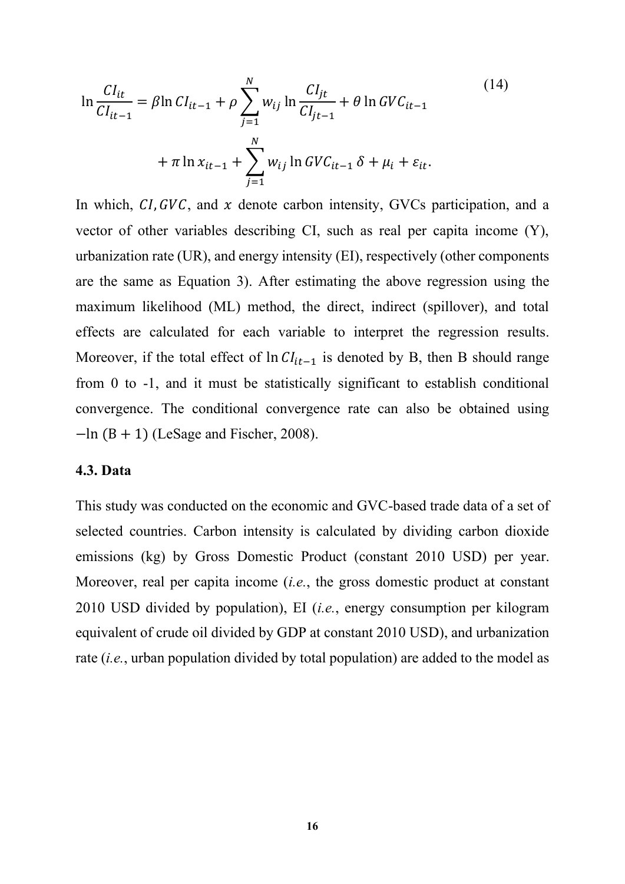$$
\ln \frac{CI_{it}}{CI_{it-1}} = \beta \ln CI_{it-1} + \rho \sum_{j=1}^{N} w_{ij} \ln \frac{CI_{jt}}{CI_{jt-1}} + \theta \ln GVC_{it-1} + \pi \ln x_{it-1} + \sum_{j=1}^{N} w_{ij} \ln GVC_{it-1} \delta + \mu_i + \varepsilon_{it}.
$$
\n(14)

In which,  $CI, GVC$ , and  $x$  denote carbon intensity, GVCs participation, and a vector of other variables describing CI, such as real per capita income (Y), urbanization rate (UR), and energy intensity (EI), respectively (other components are the same as Equation 3). After estimating the above regression using the maximum likelihood (ML) method, the direct, indirect (spillover), and total effects are calculated for each variable to interpret the regression results. Moreover, if the total effect of  $\ln CI_{it-1}$  is denoted by B, then B should range from 0 to -1, and it must be statistically significant to establish conditional convergence. The conditional convergence rate can also be obtained using  $-\ln(B + 1)$  (LeSage and Fischer, 2008).

#### **4.3. Data**

This study was conducted on the economic and GVC-based trade data of a set of selected countries. Carbon intensity is calculated by dividing carbon dioxide emissions (kg) by Gross Domestic Product (constant 2010 USD) per year. Moreover, real per capita income (*i.e.*, the gross domestic product at constant 2010 USD divided by population), EI (*i.e.*, energy consumption per kilogram equivalent of crude oil divided by GDP at constant 2010 USD), and urbanization rate (*i.e.*, urban population divided by total population) are added to the model as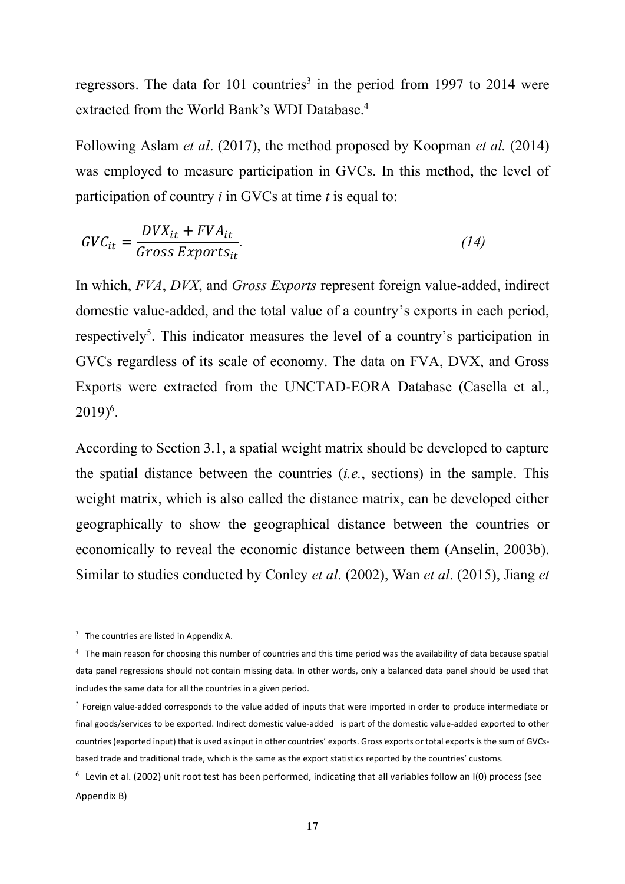regressors. The data for 101 countries<sup>3</sup> in the period from 1997 to 2014 were extracted from the World Bank's WDI Database.<sup>4</sup>

Following Aslam *et al*. (2017), the method proposed by Koopman *et al.* (2014) was employed to measure participation in GVCs. In this method, the level of participation of country *i* in GVCs at time *t* is equal to:

$$
GVC_{it} = \frac{DVX_{it} + FVA_{it}}{Gross\,Express\,}{\tag{14}}
$$

In which, *FVA*, *DVX*, and *Gross Exports* represent foreign value-added, indirect domestic value-added, and the total value of a country's exports in each period, respectively<sup>5</sup>. This indicator measures the level of a country's participation in GVCs regardless of its scale of economy. The data on FVA, DVX, and Gross Exports were extracted from the UNCTAD-EORA Database (Casella et al.,  $2019)^6$ .

According to Section 3.1, a spatial weight matrix should be developed to capture the spatial distance between the countries (*i.e.*, sections) in the sample. This weight matrix, which is also called the distance matrix, can be developed either geographically to show the geographical distance between the countries or economically to reveal the economic distance between them (Anselin, 2003b). Similar to studies conducted by Conley *et al*. (2002), Wan *et al*. (2015), Jiang *et* 

 $3$  The countries are listed in Appendix A.

 $4$  The main reason for choosing this number of countries and this time period was the availability of data because spatial data panel regressions should not contain missing data. In other words, only a balanced data panel should be used that includes the same data for all the countries in a given period.

 $<sup>5</sup>$  Foreign value-added corresponds to the value added of inputs that were imported in order to produce intermediate or</sup> final goods/services to be exported. Indirect domestic value-added is part of the domestic value-added exported to other countries (exported input) that is used as input in other countries' exports. Gross exports or total exports is the sum of GVCsbased trade and traditional trade, which is the same as the export statistics reported by the countries' customs.

 $^6$  Levin et al. (2002) unit root test has been performed, indicating that all variables follow an I(0) process (see Appendix B)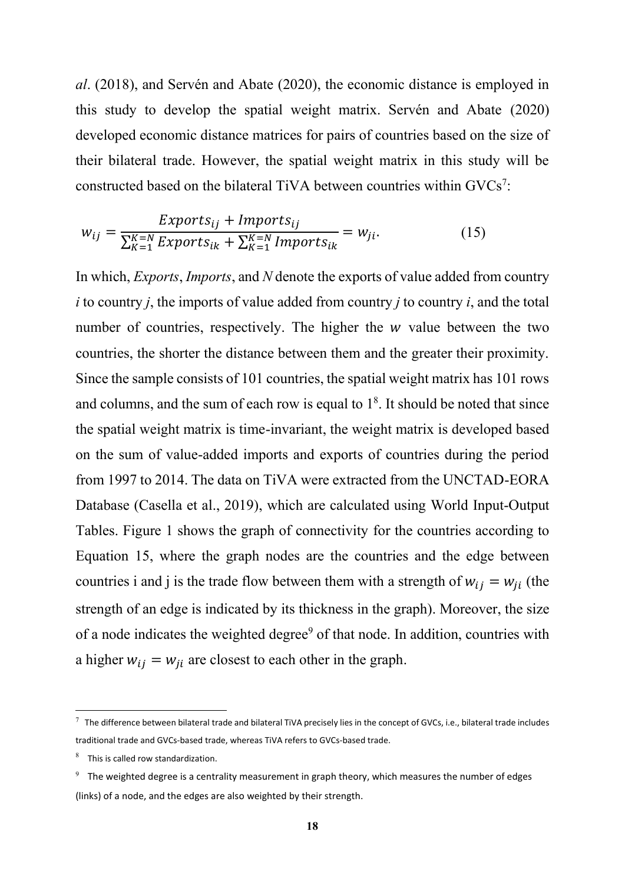*al*. (2018), and Servén and Abate (2020), the economic distance is employed in this study to develop the spatial weight matrix. Servén and Abate (2020) developed economic distance matrices for pairs of countries based on the size of their bilateral trade. However, the spatial weight matrix in this study will be constructed based on the bilateral TiVA between countries within GVCs<sup>7</sup>:

$$
w_{ij} = \frac{Exports_{ij} + Imports_{ij}}{\sum_{K=1}^{K=N} Exports_{ik} + \sum_{K=1}^{K=N} Imports_{ik}} = w_{ji}.
$$
 (15)

In which, *Exports*, *Imports*, and *N* denote the exports of value added from country *i* to country *j*, the imports of value added from country *j* to country *i*, and the total number of countries, respectively. The higher the  $w$  value between the two countries, the shorter the distance between them and the greater their proximity. Since the sample consists of 101 countries, the spatial weight matrix has 101 rows and columns, and the sum of each row is equal to  $1<sup>8</sup>$ . It should be noted that since the spatial weight matrix is time-invariant, the weight matrix is developed based on the sum of value-added imports and exports of countries during the period from 1997 to 2014. The data on TiVA were extracted from the UNCTAD-EORA Database (Casella et al., 2019), which are calculated using World Input-Output Tables. Figure 1 shows the graph of connectivity for the countries according to Equation 15, where the graph nodes are the countries and the edge between countries i and j is the trade flow between them with a strength of  $w_{ij} = w_{ji}$  (the strength of an edge is indicated by its thickness in the graph). Moreover, the size of a node indicates the weighted degree<sup>9</sup> of that node. In addition, countries with a higher  $w_{ij} = w_{ji}$  are closest to each other in the graph.

 $^7$  The difference between bilateral trade and bilateral TiVA precisely lies in the concept of GVCs, i.e., bilateral trade includes traditional trade and GVCs-based trade, whereas TiVA refers to GVCs-based trade.

 $8$  This is called row standardization.

 $9$  The weighted degree is a centrality measurement in graph theory, which measures the number of edges (links) of a node, and the edges are also weighted by their strength.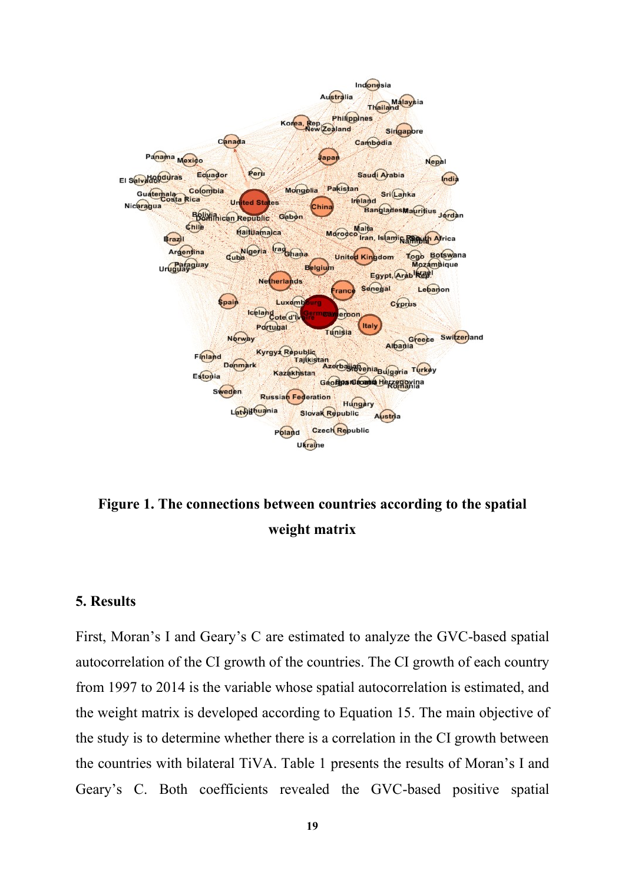

**Figure 1. The connections between countries according to the spatial weight matrix** 

#### **5. Results**

First, Moran's I and Geary's C are estimated to analyze the GVC-based spatial autocorrelation of the CI growth of the countries. The CI growth of each country from 1997 to 2014 is the variable whose spatial autocorrelation is estimated, and the weight matrix is developed according to Equation 15. The main objective of the study is to determine whether there is a correlation in the CI growth between the countries with bilateral TiVA. Table 1 presents the results of Moran's I and Geary's C. Both coefficients revealed the GVC-based positive spatial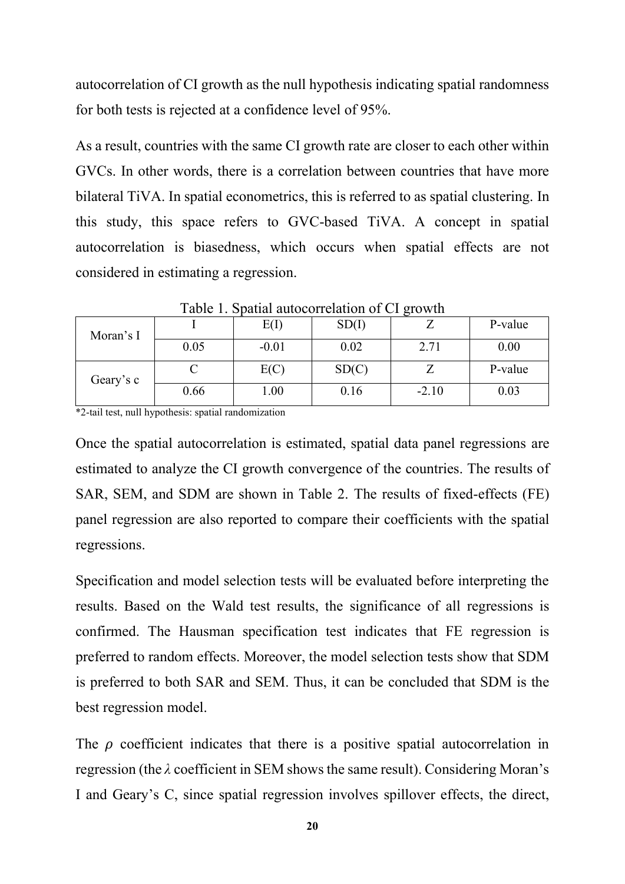autocorrelation of CI growth as the null hypothesis indicating spatial randomness for both tests is rejected at a confidence level of 95%.

As a result, countries with the same CI growth rate are closer to each other within GVCs. In other words, there is a correlation between countries that have more bilateral TiVA. In spatial econometrics, this is referred to as spatial clustering. In this study, this space refers to GVC-based TiVA. A concept in spatial autocorrelation is biasedness, which occurs when spatial effects are not considered in estimating a regression.

| Tuoto 1. Spaniai autoconferandii of Cr <sub>ist</sub> io will |      |         |       |         |         |  |  |  |  |  |
|---------------------------------------------------------------|------|---------|-------|---------|---------|--|--|--|--|--|
| Moran's I                                                     |      | E(I)    | SD(I) |         | P-value |  |  |  |  |  |
|                                                               | 0.05 | $-0.01$ | 0.02  | 2.71    | 0.00    |  |  |  |  |  |
| Geary's c                                                     |      | E(C)    | SD(C) |         | P-value |  |  |  |  |  |
|                                                               | 0.66 | 1.00    | 0.16  | $-2.10$ | 0.03    |  |  |  |  |  |

Table 1. Spatial autocorrelation of CI growth

\*2-tail test, null hypothesis: spatial randomization

Once the spatial autocorrelation is estimated, spatial data panel regressions are estimated to analyze the CI growth convergence of the countries. The results of SAR, SEM, and SDM are shown in Table 2. The results of fixed-effects (FE) panel regression are also reported to compare their coefficients with the spatial regressions.

Specification and model selection tests will be evaluated before interpreting the results. Based on the Wald test results, the significance of all regressions is confirmed. The Hausman specification test indicates that FE regression is preferred to random effects. Moreover, the model selection tests show that SDM is preferred to both SAR and SEM. Thus, it can be concluded that SDM is the best regression model.

The  $\rho$  coefficient indicates that there is a positive spatial autocorrelation in regression (the *λ* coefficient in SEM showsthe same result). Considering Moran's I and Geary's C, since spatial regression involves spillover effects, the direct,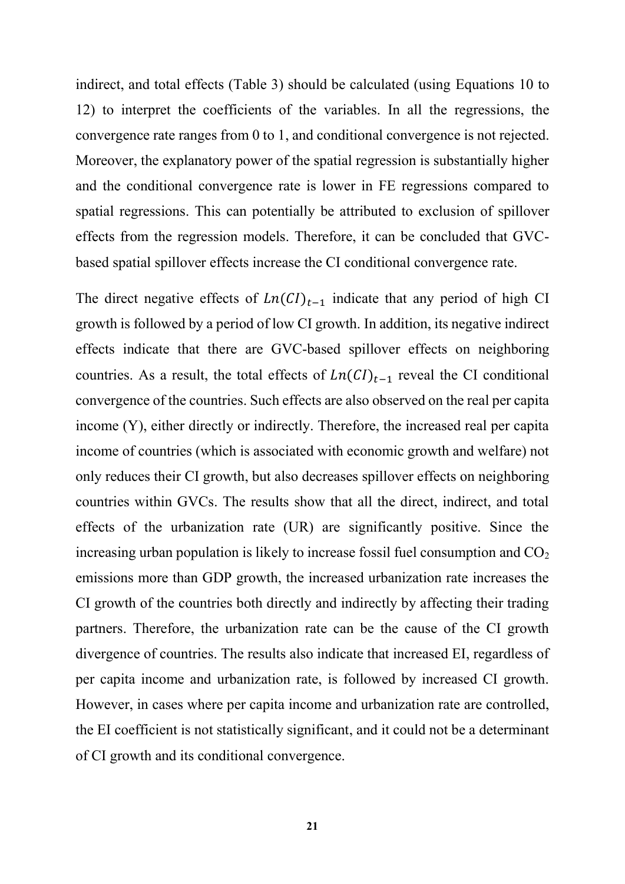indirect, and total effects (Table 3) should be calculated (using Equations 10 to 12) to interpret the coefficients of the variables. In all the regressions, the convergence rate ranges from 0 to 1, and conditional convergence is not rejected. Moreover, the explanatory power of the spatial regression is substantially higher and the conditional convergence rate is lower in FE regressions compared to spatial regressions. This can potentially be attributed to exclusion of spillover effects from the regression models. Therefore, it can be concluded that GVCbased spatial spillover effects increase the CI conditional convergence rate.

The direct negative effects of  $Ln(CI)_{t-1}$  indicate that any period of high CI growth is followed by a period of low CI growth. In addition, its negative indirect effects indicate that there are GVC-based spillover effects on neighboring countries. As a result, the total effects of  $Ln(CI)_{t-1}$  reveal the CI conditional convergence of the countries. Such effects are also observed on the real per capita income (Y), either directly or indirectly. Therefore, the increased real per capita income of countries (which is associated with economic growth and welfare) not only reduces their CI growth, but also decreases spillover effects on neighboring countries within GVCs. The results show that all the direct, indirect, and total effects of the urbanization rate (UR) are significantly positive. Since the increasing urban population is likely to increase fossil fuel consumption and  $CO<sub>2</sub>$ emissions more than GDP growth, the increased urbanization rate increases the CI growth of the countries both directly and indirectly by affecting their trading partners. Therefore, the urbanization rate can be the cause of the CI growth divergence of countries. The results also indicate that increased EI, regardless of per capita income and urbanization rate, is followed by increased CI growth. However, in cases where per capita income and urbanization rate are controlled, the EI coefficient is not statistically significant, and it could not be a determinant of CI growth and its conditional convergence.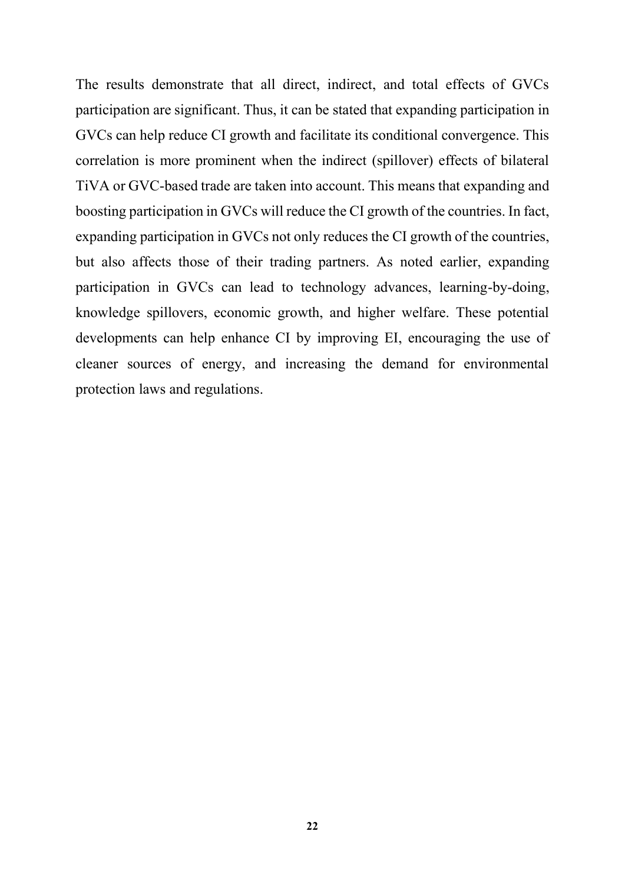The results demonstrate that all direct, indirect, and total effects of GVCs participation are significant. Thus, it can be stated that expanding participation in GVCs can help reduce CI growth and facilitate its conditional convergence. This correlation is more prominent when the indirect (spillover) effects of bilateral TiVA or GVC-based trade are taken into account. This means that expanding and boosting participation in GVCs will reduce the CI growth of the countries. In fact, expanding participation in GVCs not only reduces the CI growth of the countries, but also affects those of their trading partners. As noted earlier, expanding participation in GVCs can lead to technology advances, learning-by-doing, knowledge spillovers, economic growth, and higher welfare. These potential developments can help enhance CI by improving EI, encouraging the use of cleaner sources of energy, and increasing the demand for environmental protection laws and regulations.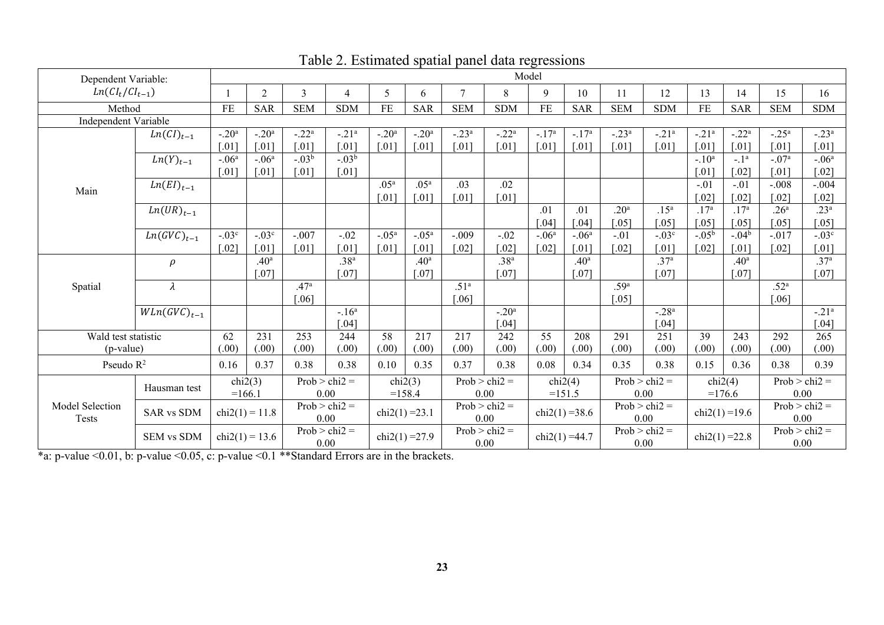| Dependent Variable:                                                                       |                  |                     |                  |                      |                      |                  |                     |                  |                      | Model               |                   |                      |                      |                     |                  |                     |                     |
|-------------------------------------------------------------------------------------------|------------------|---------------------|------------------|----------------------|----------------------|------------------|---------------------|------------------|----------------------|---------------------|-------------------|----------------------|----------------------|---------------------|------------------|---------------------|---------------------|
| $Ln(Cl_t/Cl_{t-1})$                                                                       |                  |                     | $\overline{c}$   | $\overline{3}$       | $\overline{4}$       | 5                | 6                   | $\overline{7}$   | 8                    | 9                   | 10                | 11                   | 12                   | 13                  | 14               | 15                  | 16                  |
| Method                                                                                    |                  | <b>FE</b>           | <b>SAR</b>       | <b>SEM</b>           | <b>SDM</b>           | <b>FE</b>        | <b>SAR</b>          | <b>SEM</b>       | <b>SDM</b>           | <b>FE</b>           | <b>SAR</b>        | <b>SEM</b>           | <b>SDM</b>           | $\rm FE$            | <b>SAR</b>       | <b>SEM</b>          | <b>SDM</b>          |
| Independent Variable                                                                      |                  |                     |                  |                      |                      |                  |                     |                  |                      |                     |                   |                      |                      |                     |                  |                     |                     |
|                                                                                           | $Ln(Cl)_{t-1}$   | $-.20a$             | $-.20a$          | $-.22a$              | $-.21a$              | $-.20a$          | $-.20a$             | $-.23a$          | $-.22a$              | $-.17a$             | $-.17a$           | $-.23a$              | $-.21a$              | $-.21a$             | $-.22a$          | $-.25a$             | $-.23a$             |
|                                                                                           |                  | [.01]               | [.01]            | .011                 | $\lceil .01 \rceil$  | [.01]            | [.01]               | .011             | $\left[ .01 \right]$ | $\lceil .01 \rceil$ | [.01]             | .011                 | .011                 | [.01]               | .011             | [.01]               | [.01]               |
|                                                                                           | $Ln(Y)_{t-1}$    | $-.06a$             | $-.06a$          | $-.03b$              | $-.03b$              |                  |                     |                  |                      |                     |                   |                      |                      | $-.10a$             | $-1a$            | $-.07a$             | $-.06a$             |
|                                                                                           |                  | $\lceil .01 \rceil$ | [.01]            | [.01]                | [.01]                |                  |                     |                  |                      |                     |                   |                      |                      | [.01]               | .021             | [.01]               | [.02]               |
| Main                                                                                      | $Ln(EI)_{t-1}$   |                     |                  |                      |                      | .05 <sup>a</sup> | .05 <sup>a</sup>    | .03              | .02                  |                     |                   |                      |                      | $-.01$              | $-.01$           | $-.008$             | $-.004$             |
|                                                                                           |                  |                     |                  |                      |                      | [.01]            | $\lceil .01 \rceil$ | .011             | $\left[ .01 \right]$ |                     |                   |                      |                      | [.02]               | .021             | $\lceil .02 \rceil$ | $\lceil .02 \rceil$ |
|                                                                                           | $Ln(UR)_{t-1}$   |                     |                  |                      |                      |                  |                     |                  |                      | .01                 | .01               | .20 <sup>a</sup>     | .15 <sup>a</sup>     | .17 <sup>a</sup>    | .17 <sup>a</sup> | .26 <sup>a</sup>    | .23 <sup>a</sup>    |
|                                                                                           |                  |                     |                  |                      |                      |                  |                     |                  |                      | $[.04]$             | $[.04]$           | $\left[ .05 \right]$ | $\left[ .05 \right]$ | $\lceil.05\rceil$   | .05]             | $[.05]$             | $[.05]$             |
|                                                                                           | $Ln(GVC)_{t-1}$  | $-.03c$             | $-.03c$          | $-.007$              | $-.02$               | $-.05^{\rm a}$   | $-.05a$             | $-.009$          | $-.02$               | $-.06a$             | $-.06a$           | $-.01$               | $-.03c$              | $-.05^{\rm b}$      | $-.04b$          | $-.017$             | $-.03c$             |
|                                                                                           |                  | $\lceil .02 \rceil$ | [.01]            | $\left[ .01 \right]$ | $\lceil .01 \rceil$  | [.01]            | $\lceil .01 \rceil$ | .021             | $\left[ .02 \right]$ | $[.02]$             | [.01]             | $\lceil .02 \rceil$  | [.01]                | $\lceil .02 \rceil$ | [.01]            | $\lceil .02 \rceil$ | $\lceil .01 \rceil$ |
|                                                                                           | $\rho$           |                     | .40 <sup>a</sup> |                      | .38 <sup>a</sup>     |                  | .40 <sup>a</sup>    |                  | .38 <sup>a</sup>     |                     | .40 <sup>a</sup>  |                      | .37 <sup>a</sup>     |                     | .40 <sup>a</sup> |                     | .37 <sup>a</sup>    |
|                                                                                           |                  |                     | .071             |                      | [.07]                |                  | [.07]               |                  | $[.07]$              |                     | $\lceil.07\rceil$ |                      | $[.07]$              |                     | $[.07]$          |                     | $[.07]$             |
| Spatial                                                                                   | $\lambda$        |                     |                  | .47 <sup>a</sup>     |                      |                  |                     | .51 <sup>a</sup> |                      |                     |                   | .59 <sup>a</sup>     |                      |                     |                  | .52 <sup>a</sup>    |                     |
|                                                                                           |                  |                     |                  | $.06$ ]              |                      |                  |                     | .061             |                      |                     |                   | [.05]                |                      |                     |                  | $[.06]$             |                     |
|                                                                                           | $WLn(GVC)_{t-1}$ |                     |                  |                      | $-.16a$              |                  |                     |                  | $-.20a$              |                     |                   |                      | $-.28a$              |                     |                  |                     | $-.21a$             |
|                                                                                           |                  |                     |                  |                      | $\left[ .04 \right]$ |                  |                     |                  | $[.04]$              |                     |                   |                      | $[.04]$              |                     |                  |                     | $[.04]$             |
| Wald test statistic                                                                       |                  | 62                  | 231              | 253                  | 244                  | 58               | 217                 | 217              | 242                  | 55                  | 208               | 291                  | 251                  | 39                  | 243              | 292                 | 265                 |
| $(p-value)$                                                                               |                  | (.00)               | (.00)            | (.00)                | (.00)                | (.00)            | (.00)               | (.00)            | (.00)                | (.00)               | (.00)             | (.00)                | (.00)                | (.00)               | (.00)            | (.00)               | (.00)               |
| Pseudo $R^2$                                                                              |                  | 0.16                | 0.37             | 0.38                 | 0.38                 | 0.10             | 0.35                | 0.37             | 0.38                 | 0.08                | 0.34              | 0.35                 | 0.38                 | 0.15                | 0.36             | 0.38                | 0.39                |
| Hausman test<br>Model Selection<br><b>SAR vs SDM</b><br><b>Tests</b><br><b>SEM vs SDM</b> |                  | chi2(3)             |                  | $Prob > chi2 =$      | chi2(3)              |                  | $Prob > chi2 =$     |                  | chi2(4)              |                     | $Prob > chi2 =$   |                      | chi2(4)              |                     | $Prob > chi2 =$  |                     |                     |
|                                                                                           |                  | $=166.1$            |                  |                      | 0.00                 |                  | $=158.4$            |                  | 0.00                 |                     | $=151.5$          |                      | 0.00                 |                     | $=176.6$         |                     | 0.00                |
|                                                                                           |                  | $chi2(1) = 11.8$    |                  | $Prob > chi2 =$      |                      |                  |                     | $Prob > chi2 =$  |                      |                     |                   | $Prob > chi2 =$      |                      |                     | chi2(1)=19.6     |                     | $Prob > chi2 =$     |
|                                                                                           |                  |                     |                  |                      | 0.00                 | $chi2(1) = 23.1$ |                     | 0.00             |                      | chi2(1)=38.6        |                   | 0.00                 |                      |                     |                  |                     | 0.00                |
|                                                                                           |                  |                     | $chi2(1) = 13.6$ |                      | $Prob > chi2 =$      | $chi2(1) = 27.9$ |                     | $Prob > chi2 =$  |                      | $chi2(1) = 44.7$    |                   | $Prob > chi2 =$      |                      | chi2(1)=22.8        |                  | $Prob > chi2 =$     |                     |
|                                                                                           |                  |                     |                  | 0.00                 |                      |                  |                     | 0.00             |                      |                     |                   | 0.00                 |                      |                     |                  | 0.00                |                     |

## Table 2. Estimated spatial panel data regressions

\*a: p-value <0.01, b: p-value <0.05, c: p-value <0.1 \*\*Standard Errors are in the brackets.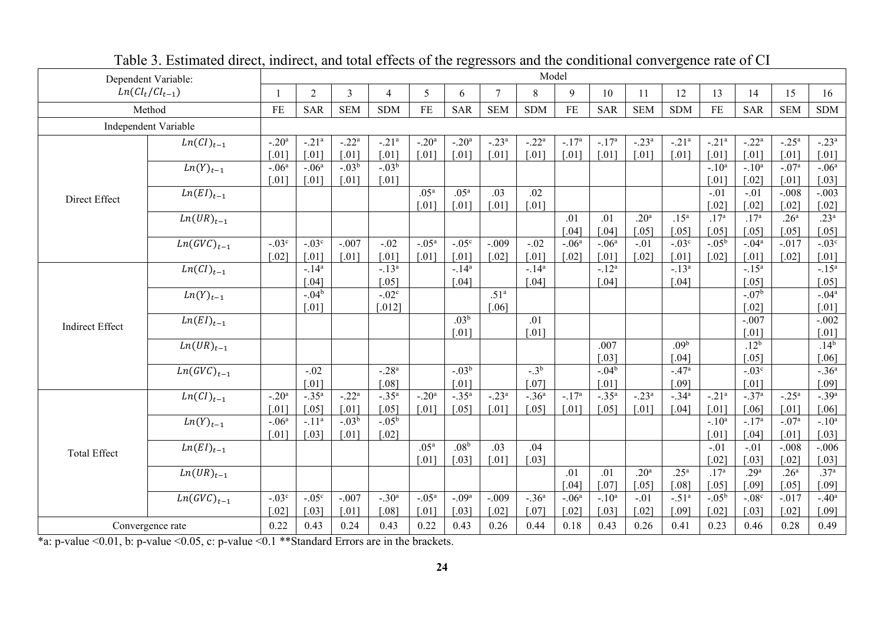| Dependent Variable:    |                            | Model                |                     |                     |                      |                     |                     |                     |               |                     |                     |                      |                      |                     |                       |                     |                      |
|------------------------|----------------------------|----------------------|---------------------|---------------------|----------------------|---------------------|---------------------|---------------------|---------------|---------------------|---------------------|----------------------|----------------------|---------------------|-----------------------|---------------------|----------------------|
| $Ln(CI_t/CI_{t-1})$    |                            |                      | $\overline{2}$      | 3                   | $\overline{4}$       | 5                   | 6                   | 7                   | 8             | 9                   | 10                  | 11                   | 12                   | 13                  | 14                    | 15                  | 16                   |
|                        | Method                     | <b>FE</b>            | <b>SAR</b>          | <b>SEM</b>          | <b>SDM</b>           | <b>FE</b>           | <b>SAR</b>          | <b>SEM</b>          | <b>SDM</b>    | <b>FE</b>           | <b>SAR</b>          | <b>SEM</b>           | <b>SDM</b>           | $\rm FE$            | <b>SAR</b>            | <b>SEM</b>          | <b>SDM</b>           |
|                        | Independent Variable       |                      |                     |                     |                      |                     |                     |                     |               |                     |                     |                      |                      |                     |                       |                     |                      |
|                        | $\overline{Ln}(CI)_{t-1}$  | $-.20a$              | $-.21a$             | $-.22a$             | $-.21a$              | $-.20a$             | $-.20a$             | $-.23a$             | $-.22a$       | $-.17a$             | $-.17a$             | $-.23a$              | $-.21a$              | $-.21a$             | $-.22a$               | $-.25a$             | $-.23a$              |
|                        |                            | $\left[ .01 \right]$ | $\lceil .01 \rceil$ | $\lceil .01 \rceil$ | $\lceil .01 \rceil$  | $\lceil .01 \rceil$ | $[.01]$             | $\lceil .01 \rceil$ | [.01]         | $[.01]$             | $[.01]$             | $[.01]$              | $[.01]$              | $\lceil .01 \rceil$ | $\lceil .01 \rceil$   | $\lceil .01 \rceil$ | $[.01]$              |
|                        | $Ln(Y)_{t-1}$              | $-.06a$              | $-06^a$             | $-0.03^b$           | $-0.03^{b}$          |                     |                     |                     |               |                     |                     |                      |                      | $-.10a$             | $-.10^{\overline{a}}$ | $-.07a$             | $-.06a$              |
|                        |                            | $[.01]$              | $[.01]$             | $[.01]$             | $\lceil .01 \rceil$  |                     |                     |                     |               |                     |                     |                      |                      | $\lceil .01 \rceil$ | $[.02]$               | $\lceil .01 \rceil$ | $[.03]$              |
| Direct Effect          | $Ln(EI)_{t-1}$             |                      |                     |                     |                      | .05 <sup>a</sup>    | .05 <sup>a</sup>    | .03                 | .02           |                     |                     |                      |                      | $-.01$              | $-.01$                | $-.008$             | $-.003$              |
|                        |                            |                      |                     |                     |                      | $[.01]$             | $[.01]$             | $\lceil .01 \rceil$ | $.01$ ]       |                     |                     |                      |                      | $\lceil .02 \rceil$ | $[.02]$               | $\lceil .02 \rceil$ | $\lceil .02 \rceil$  |
|                        | $Ln(UR)_{t-1}$             |                      |                     |                     |                      |                     |                     |                     |               | .01                 | .01                 | .20 <sup>a</sup>     | .15 <sup>a</sup>     | .17 <sup>a</sup>    | .17 <sup>a</sup>      | .26 <sup>a</sup>    | .23 <sup>a</sup>     |
|                        |                            |                      |                     |                     |                      |                     |                     |                     |               | $\left[ .04\right]$ | $[.04]$             | $\left[ .05 \right]$ | $\left[ .05 \right]$ | $\lceil .05 \rceil$ | $[.05]$               | $\lceil .05 \rceil$ | $[.05]$              |
|                        | $Ln(GVC)_{t-1}$            | $-.03c$              | $-.03c$             | $-.007$             | $-.02$               | $-.05a$             | $-.05c$             | $-.009$             | $-.02$        | $-.06a$             | $-.06a$             | $-.01$               | $-.03c$              | $-0.05^{\rm b}$     | $-.04a$               | $-.017$             | $-.03c$              |
|                        |                            | $\lceil .02 \rceil$  | $\lceil .01 \rceil$ | $\lceil .01 \rceil$ | $\lceil .01 \rceil$  | [.01]               | [.01]               | $\lceil .02 \rceil$ | [.01]         | $\lceil .02 \rceil$ | [.01]               | $[.02]$              | $[.01]$              | $\lceil .02 \rceil$ | $[.01]$               | $\lceil .02 \rceil$ | $\lceil .01 \rceil$  |
|                        | $Ln(CI)_{t-1}$             |                      | $-.14a$             |                     | $-.13a$              |                     | $-.14a$             |                     | $-.14a$       |                     | $-.12a$             |                      | $-.13a$              |                     | $-.15a$               |                     | $-.15a$              |
|                        |                            |                      | [.04]               |                     | $[.05]$              |                     | $\lceil .04 \rceil$ |                     | .04]          |                     | $\lceil.04\rceil$   |                      | $\left[ .04\right]$  |                     | $[.05]$               |                     | $\left[ .05 \right]$ |
|                        | $Ln(Y)_{t-1}$              |                      | $-.04b$             |                     | $-.02c$              |                     |                     | .51 <sup>a</sup>    |               |                     |                     |                      |                      |                     | $-.07b$               |                     | $-.04a$              |
| <b>Indirect Effect</b> |                            |                      | [.01]               |                     | [.012]               |                     |                     | [.06]               |               |                     |                     |                      |                      |                     | $[.02]$               |                     | $[.01]$              |
|                        | $Ln(EI)_{t-1}$             |                      |                     |                     |                      |                     | .03 <sup>b</sup>    |                     | .01           |                     |                     |                      |                      |                     | $-.007$               |                     | $-.002$              |
|                        |                            |                      |                     |                     |                      |                     | $[.01]$             |                     | $.01$ ]       |                     |                     |                      |                      |                     | $[.01]$               |                     | $\lceil .01 \rceil$  |
|                        | $Ln(UR)_{t-1}$             |                      |                     |                     |                      |                     |                     |                     |               |                     | .007                |                      | .09 <sup>b</sup>     |                     | $.12^{b}$             |                     | $.14^{b}$            |
|                        |                            |                      |                     |                     |                      |                     |                     |                     |               |                     | [.03]               |                      | [.04]                |                     | $[.05]$               |                     | $[.06]$              |
|                        | $\overline{Ln(GVC)}_{t-1}$ |                      | $-.02$              |                     | $-0.28$ <sup>a</sup> |                     | $-.03^{b}$          |                     | $-3^{b}$      |                     | $-.04b$             |                      | $-.47a$              |                     | $-.03c$               |                     | $-.36a$              |
|                        |                            |                      | $[.01]$             |                     | [.08]                |                     | $\lceil .01 \rceil$ |                     | $[.07]$       |                     | $[.01]$             |                      | [.09]                |                     | $[.01]$               |                     | $[.09]$              |
|                        | $\overline{Ln}(CI)_{t-1}$  | $-.20a$              | $-.35a$             | $-.22a$             | $-.35a$              | $-.20a$             | $-.35a$             | $-.23a$             | $-.36a$       | $-.17a$             | $-.35a$             | $-.23a$              | $-.34a$              | $-21a$              | $-.37a$               | $-.25a$             | $-.39a$              |
|                        |                            | [.01]                | $[.05]$             | $\lceil .01 \rceil$ | [.05]                | [.01]               | [.05]               | [.01]               | [.05]         | $[.01]$             | [.05]               | [.01]                | $[.04]$              | $\lceil .01 \rceil$ | [.06]                 | [.01]               | $[.06]$              |
| <b>Total Effect</b>    | $Ln(Y)_{t-1}$              | $-.06a$              | $-.11a$             | $-.03b$             | $-0.05^{\rm b}$      |                     |                     |                     |               |                     |                     |                      |                      | $-.10a$             | $-.17a$               | $-.07a$             | $-.10a$              |
|                        |                            | $\lceil .01 \rceil$  | $\left[ .03\right]$ | $\lceil .01 \rceil$ | $\lceil .02 \rceil$  |                     |                     |                     |               |                     |                     |                      |                      | $[.01]$             | $[.04]$               | $\lceil .01 \rceil$ | $\left[ .03\right]$  |
|                        | $\overline{Ln(EI)}_{t-1}$  |                      |                     |                     |                      | .05 <sup>a</sup>    | .08 <sup>b</sup>    | $\overline{.03}$    | .04           |                     |                     |                      |                      | $-.01$              | $-.01$                | $-.008$             | $-.006$              |
|                        |                            |                      |                     |                     |                      | $[.01]$             | $\lceil .03 \rceil$ | [.01]               | $.03$ ]       |                     |                     |                      |                      | $\lceil .02 \rceil$ | $[.03]$               | $\lceil .02 \rceil$ | $\left[ .03\right]$  |
|                        | $\overline{Ln}(UR)_{t-1}$  |                      |                     |                     |                      |                     |                     |                     |               | .01                 | .01                 | .20 <sup>a</sup>     | .25 <sup>a</sup>     | .17 <sup>a</sup>    | .29 <sup>a</sup>      | .26 <sup>a</sup>    | .37 <sup>a</sup>     |
|                        |                            |                      |                     |                     |                      |                     |                     |                     |               | $\lceil.04\rceil$   | $[.07]$             | [.05]                | [.08]                | $[.05]$             | [.09]                 | [.05]               | [.09]                |
|                        | $Ln(GVC)_{t-1}$            | $-.03c$              | $-0.05$             | $-.007$             | $-30^{\circ}$        | $-.05a$             | $-0.09a$            | $-.009$             | $-36^{\circ}$ | $-.06a$             | $-.10a$             | $-.01$               | $-.51a$              | $-0.05^{b}$         | $-08c$                | $-.017$             | $-.40a$              |
|                        |                            | $\lceil .02 \rceil$  | $\left[ .03\right]$ | $\lceil .01 \rceil$ | [.08]                | $[.01]$             | $[.03]$             | $\lceil .02 \rceil$ | $[.07]$       | $\lceil .02 \rceil$ | $\lceil .03 \rceil$ | $\lceil .02 \rceil$  | [.09]                | $\lceil .02 \rceil$ | $[.03]$               | $\lceil .02 \rceil$ | $[.09]$              |
| Convergence rate       |                            | 0.22                 | 0.43                | 0.24                | 0.43                 | 0.22                | 0.43                | 0.26                | 0.44          | 0.18                | 0.43                | 0.26                 | 0.41                 | 0.23                | 0.46                  | 0.28                | 0.49                 |

|--|

\*a: p-value <0.01, b: p-value <0.05, c: p-value <0.1 \*\*Standard Errors are in the brackets.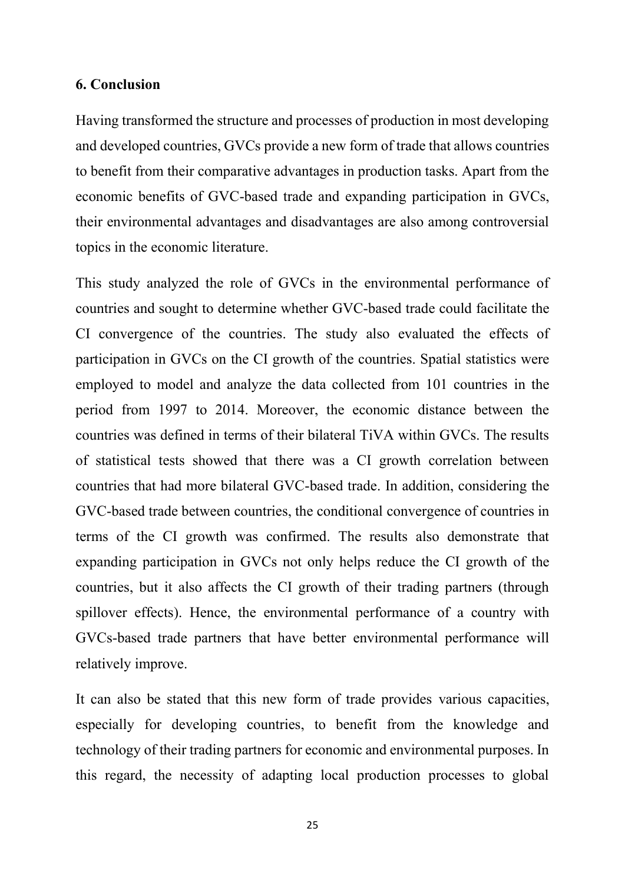#### **6. Conclusion**

Having transformed the structure and processes of production in most developing and developed countries, GVCs provide a new form of trade that allows countries to benefit from their comparative advantages in production tasks. Apart from the economic benefits of GVC-based trade and expanding participation in GVCs, their environmental advantages and disadvantages are also among controversial topics in the economic literature.

This study analyzed the role of GVCs in the environmental performance of countries and sought to determine whether GVC-based trade could facilitate the CI convergence of the countries. The study also evaluated the effects of participation in GVCs on the CI growth of the countries. Spatial statistics were employed to model and analyze the data collected from 101 countries in the period from 1997 to 2014. Moreover, the economic distance between the countries was defined in terms of their bilateral TiVA within GVCs. The results of statistical tests showed that there was a CI growth correlation between countries that had more bilateral GVC-based trade. In addition, considering the GVC-based trade between countries, the conditional convergence of countries in terms of the CI growth was confirmed. The results also demonstrate that expanding participation in GVCs not only helps reduce the CI growth of the countries, but it also affects the CI growth of their trading partners (through spillover effects). Hence, the environmental performance of a country with GVCs-based trade partners that have better environmental performance will relatively improve.

It can also be stated that this new form of trade provides various capacities, especially for developing countries, to benefit from the knowledge and technology of their trading partners for economic and environmental purposes. In this regard, the necessity of adapting local production processes to global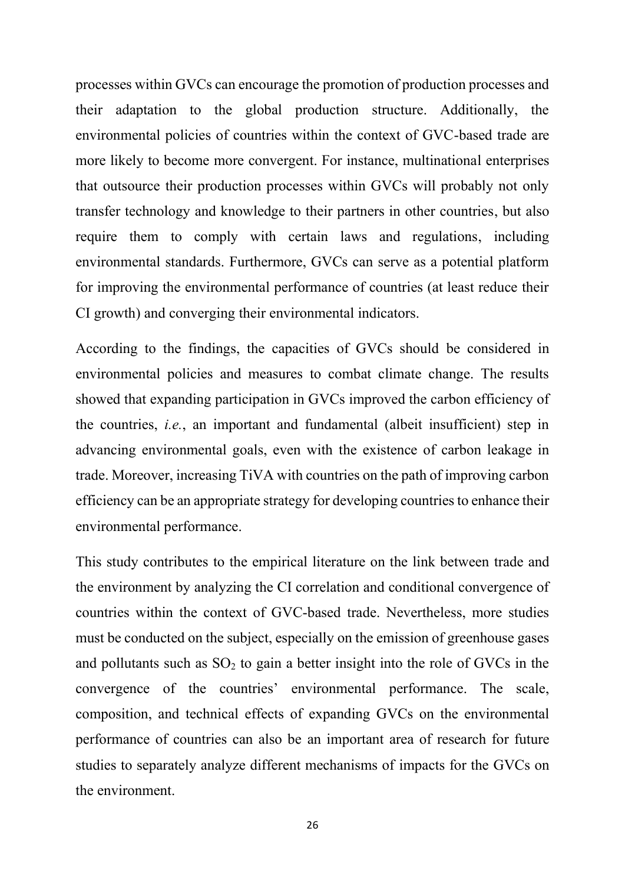processes within GVCs can encourage the promotion of production processes and their adaptation to the global production structure. Additionally, the environmental policies of countries within the context of GVC-based trade are more likely to become more convergent. For instance, multinational enterprises that outsource their production processes within GVCs will probably not only transfer technology and knowledge to their partners in other countries, but also require them to comply with certain laws and regulations, including environmental standards. Furthermore, GVCs can serve as a potential platform for improving the environmental performance of countries (at least reduce their CI growth) and converging their environmental indicators.

According to the findings, the capacities of GVCs should be considered in environmental policies and measures to combat climate change. The results showed that expanding participation in GVCs improved the carbon efficiency of the countries, *i.e.*, an important and fundamental (albeit insufficient) step in advancing environmental goals, even with the existence of carbon leakage in trade. Moreover, increasing TiVA with countries on the path of improving carbon efficiency can be an appropriate strategy for developing countries to enhance their environmental performance.

This study contributes to the empirical literature on the link between trade and the environment by analyzing the CI correlation and conditional convergence of countries within the context of GVC-based trade. Nevertheless, more studies must be conducted on the subject, especially on the emission of greenhouse gases and pollutants such as  $SO_2$  to gain a better insight into the role of GVCs in the convergence of the countries' environmental performance. The scale, composition, and technical effects of expanding GVCs on the environmental performance of countries can also be an important area of research for future studies to separately analyze different mechanisms of impacts for the GVCs on the environment.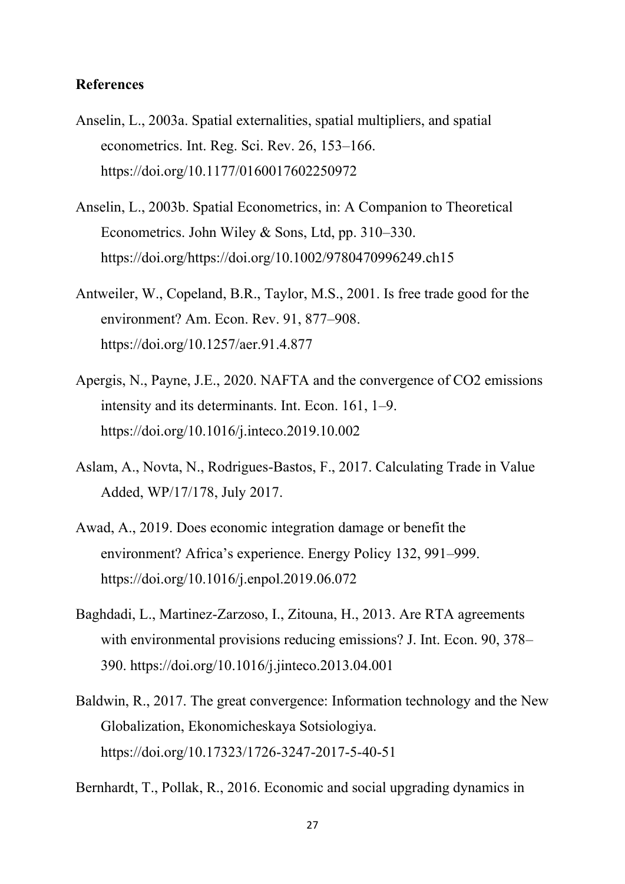#### **References**

- Anselin, L., 2003a. Spatial externalities, spatial multipliers, and spatial econometrics. Int. Reg. Sci. Rev. 26, 153–166. https://doi.org/10.1177/0160017602250972
- Anselin, L., 2003b. Spatial Econometrics, in: A Companion to Theoretical Econometrics. John Wiley & Sons, Ltd, pp. 310–330. https://doi.org/https://doi.org/10.1002/9780470996249.ch15
- Antweiler, W., Copeland, B.R., Taylor, M.S., 2001. Is free trade good for the environment? Am. Econ. Rev. 91, 877–908. https://doi.org/10.1257/aer.91.4.877
- Apergis, N., Payne, J.E., 2020. NAFTA and the convergence of CO2 emissions intensity and its determinants. Int. Econ. 161, 1–9. https://doi.org/10.1016/j.inteco.2019.10.002
- Aslam, A., Novta, N., Rodrigues-Bastos, F., 2017. Calculating Trade in Value Added, WP/17/178, July 2017.
- Awad, A., 2019. Does economic integration damage or benefit the environment? Africa's experience. Energy Policy 132, 991–999. https://doi.org/10.1016/j.enpol.2019.06.072
- Baghdadi, L., Martinez-Zarzoso, I., Zitouna, H., 2013. Are RTA agreements with environmental provisions reducing emissions? J. Int. Econ. 90, 378– 390. https://doi.org/10.1016/j.jinteco.2013.04.001
- Baldwin, R., 2017. The great convergence: Information technology and the New Globalization, Ekonomicheskaya Sotsiologiya. https://doi.org/10.17323/1726-3247-2017-5-40-51
- Bernhardt, T., Pollak, R., 2016. Economic and social upgrading dynamics in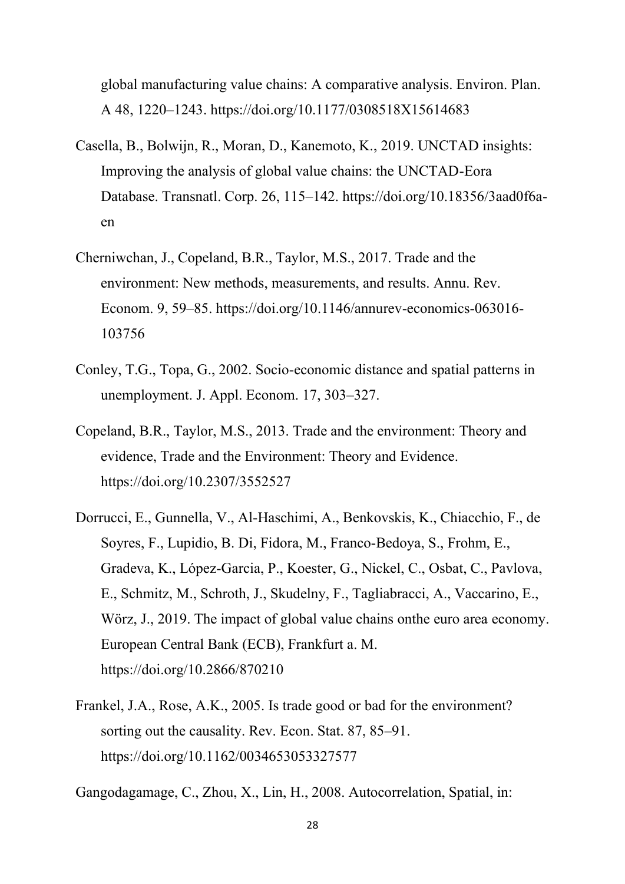global manufacturing value chains: A comparative analysis. Environ. Plan. A 48, 1220–1243. https://doi.org/10.1177/0308518X15614683

- Casella, B., Bolwijn, R., Moran, D., Kanemoto, K., 2019. UNCTAD insights: Improving the analysis of global value chains: the UNCTAD-Eora Database. Transnatl. Corp. 26, 115–142. https://doi.org/10.18356/3aad0f6aen
- Cherniwchan, J., Copeland, B.R., Taylor, M.S., 2017. Trade and the environment: New methods, measurements, and results. Annu. Rev. Econom. 9, 59–85. https://doi.org/10.1146/annurev-economics-063016- 103756
- Conley, T.G., Topa, G., 2002. Socio-economic distance and spatial patterns in unemployment. J. Appl. Econom. 17, 303–327.
- Copeland, B.R., Taylor, M.S., 2013. Trade and the environment: Theory and evidence, Trade and the Environment: Theory and Evidence. https://doi.org/10.2307/3552527
- Dorrucci, E., Gunnella, V., Al-Haschimi, A., Benkovskis, K., Chiacchio, F., de Soyres, F., Lupidio, B. Di, Fidora, M., Franco-Bedoya, S., Frohm, E., Gradeva, K., López-Garcia, P., Koester, G., Nickel, C., Osbat, C., Pavlova, E., Schmitz, M., Schroth, J., Skudelny, F., Tagliabracci, A., Vaccarino, E., Wörz, J., 2019. The impact of global value chains onthe euro area economy. European Central Bank (ECB), Frankfurt a. M. https://doi.org/10.2866/870210
- Frankel, J.A., Rose, A.K., 2005. Is trade good or bad for the environment? sorting out the causality. Rev. Econ. Stat. 87, 85–91. https://doi.org/10.1162/0034653053327577

Gangodagamage, C., Zhou, X., Lin, H., 2008. Autocorrelation, Spatial, in: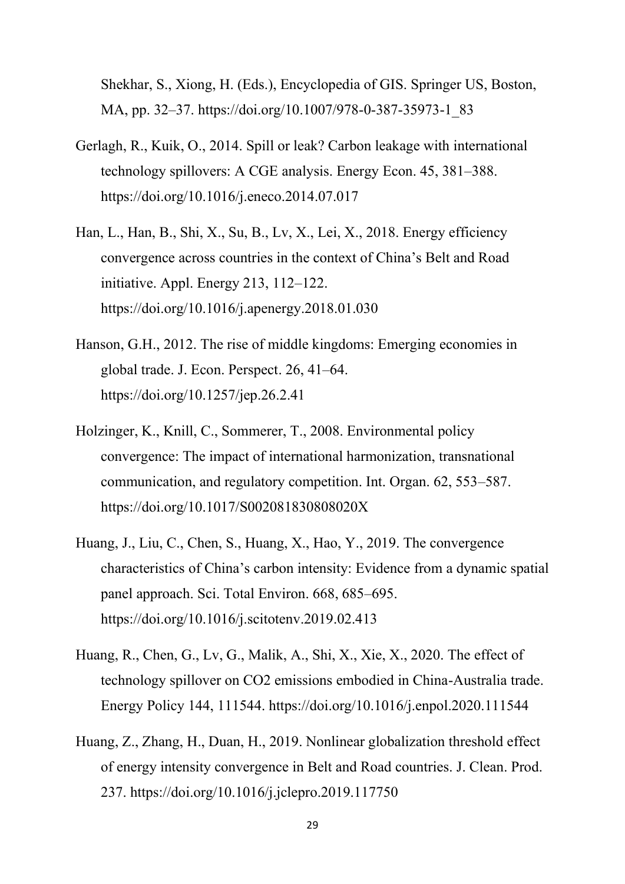Shekhar, S., Xiong, H. (Eds.), Encyclopedia of GIS. Springer US, Boston, MA, pp. 32–37. https://doi.org/10.1007/978-0-387-35973-1\_83

- Gerlagh, R., Kuik, O., 2014. Spill or leak? Carbon leakage with international technology spillovers: A CGE analysis. Energy Econ. 45, 381–388. https://doi.org/10.1016/j.eneco.2014.07.017
- Han, L., Han, B., Shi, X., Su, B., Lv, X., Lei, X., 2018. Energy efficiency convergence across countries in the context of China's Belt and Road initiative. Appl. Energy 213, 112–122. https://doi.org/10.1016/j.apenergy.2018.01.030
- Hanson, G.H., 2012. The rise of middle kingdoms: Emerging economies in global trade. J. Econ. Perspect. 26, 41–64. https://doi.org/10.1257/jep.26.2.41
- Holzinger, K., Knill, C., Sommerer, T., 2008. Environmental policy convergence: The impact of international harmonization, transnational communication, and regulatory competition. Int. Organ. 62, 553–587. https://doi.org/10.1017/S002081830808020X
- Huang, J., Liu, C., Chen, S., Huang, X., Hao, Y., 2019. The convergence characteristics of China's carbon intensity: Evidence from a dynamic spatial panel approach. Sci. Total Environ. 668, 685–695. https://doi.org/10.1016/j.scitotenv.2019.02.413
- Huang, R., Chen, G., Lv, G., Malik, A., Shi, X., Xie, X., 2020. The effect of technology spillover on CO2 emissions embodied in China-Australia trade. Energy Policy 144, 111544. https://doi.org/10.1016/j.enpol.2020.111544
- Huang, Z., Zhang, H., Duan, H., 2019. Nonlinear globalization threshold effect of energy intensity convergence in Belt and Road countries. J. Clean. Prod. 237. https://doi.org/10.1016/j.jclepro.2019.117750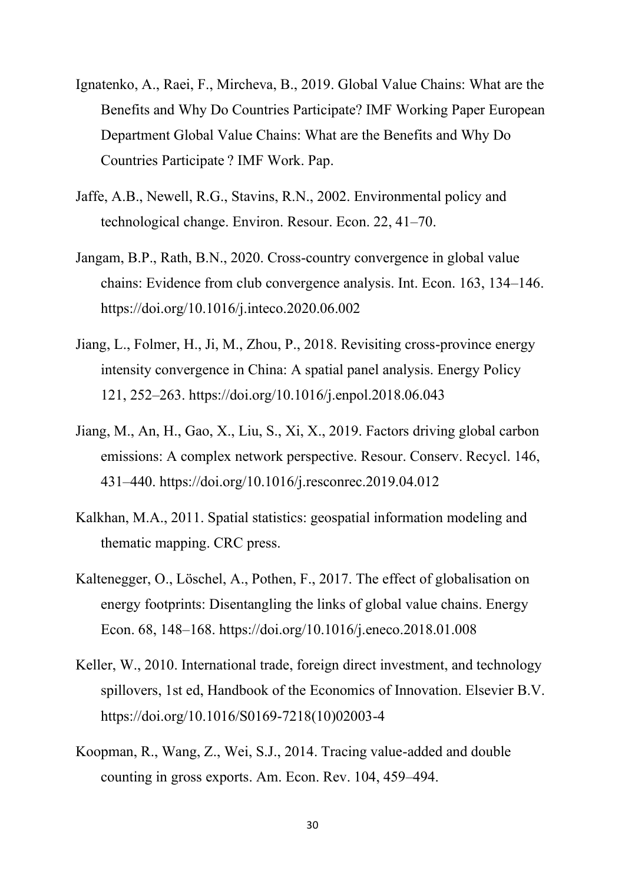- Ignatenko, A., Raei, F., Mircheva, B., 2019. Global Value Chains: What are the Benefits and Why Do Countries Participate? IMF Working Paper European Department Global Value Chains: What are the Benefits and Why Do Countries Participate ? IMF Work. Pap.
- Jaffe, A.B., Newell, R.G., Stavins, R.N., 2002. Environmental policy and technological change. Environ. Resour. Econ. 22, 41–70.
- Jangam, B.P., Rath, B.N., 2020. Cross-country convergence in global value chains: Evidence from club convergence analysis. Int. Econ. 163, 134–146. https://doi.org/10.1016/j.inteco.2020.06.002
- Jiang, L., Folmer, H., Ji, M., Zhou, P., 2018. Revisiting cross-province energy intensity convergence in China: A spatial panel analysis. Energy Policy 121, 252–263. https://doi.org/10.1016/j.enpol.2018.06.043
- Jiang, M., An, H., Gao, X., Liu, S., Xi, X., 2019. Factors driving global carbon emissions: A complex network perspective. Resour. Conserv. Recycl. 146, 431–440. https://doi.org/10.1016/j.resconrec.2019.04.012
- Kalkhan, M.A., 2011. Spatial statistics: geospatial information modeling and thematic mapping. CRC press.
- Kaltenegger, O., Löschel, A., Pothen, F., 2017. The effect of globalisation on energy footprints: Disentangling the links of global value chains. Energy Econ. 68, 148–168. https://doi.org/10.1016/j.eneco.2018.01.008
- Keller, W., 2010. International trade, foreign direct investment, and technology spillovers, 1st ed, Handbook of the Economics of Innovation. Elsevier B.V. https://doi.org/10.1016/S0169-7218(10)02003-4
- Koopman, R., Wang, Z., Wei, S.J., 2014. Tracing value-added and double counting in gross exports. Am. Econ. Rev. 104, 459–494.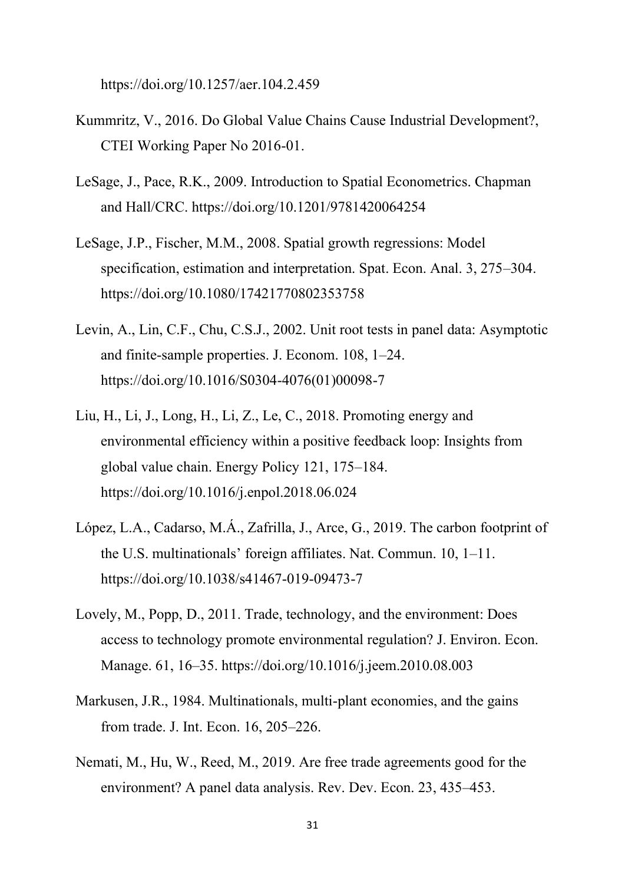https://doi.org/10.1257/aer.104.2.459

- Kummritz, V., 2016. Do Global Value Chains Cause Industrial Development?, CTEI Working Paper No 2016-01.
- LeSage, J., Pace, R.K., 2009. Introduction to Spatial Econometrics. Chapman and Hall/CRC. https://doi.org/10.1201/9781420064254
- LeSage, J.P., Fischer, M.M., 2008. Spatial growth regressions: Model specification, estimation and interpretation. Spat. Econ. Anal. 3, 275–304. https://doi.org/10.1080/17421770802353758
- Levin, A., Lin, C.F., Chu, C.S.J., 2002. Unit root tests in panel data: Asymptotic and finite-sample properties. J. Econom. 108, 1–24. https://doi.org/10.1016/S0304-4076(01)00098-7
- Liu, H., Li, J., Long, H., Li, Z., Le, C., 2018. Promoting energy and environmental efficiency within a positive feedback loop: Insights from global value chain. Energy Policy 121, 175–184. https://doi.org/10.1016/j.enpol.2018.06.024
- López, L.A., Cadarso, M.Á., Zafrilla, J., Arce, G., 2019. The carbon footprint of the U.S. multinationals' foreign affiliates. Nat. Commun. 10, 1–11. https://doi.org/10.1038/s41467-019-09473-7
- Lovely, M., Popp, D., 2011. Trade, technology, and the environment: Does access to technology promote environmental regulation? J. Environ. Econ. Manage. 61, 16–35. https://doi.org/10.1016/j.jeem.2010.08.003
- Markusen, J.R., 1984. Multinationals, multi-plant economies, and the gains from trade. J. Int. Econ. 16, 205–226.
- Nemati, M., Hu, W., Reed, M., 2019. Are free trade agreements good for the environment? A panel data analysis. Rev. Dev. Econ. 23, 435–453.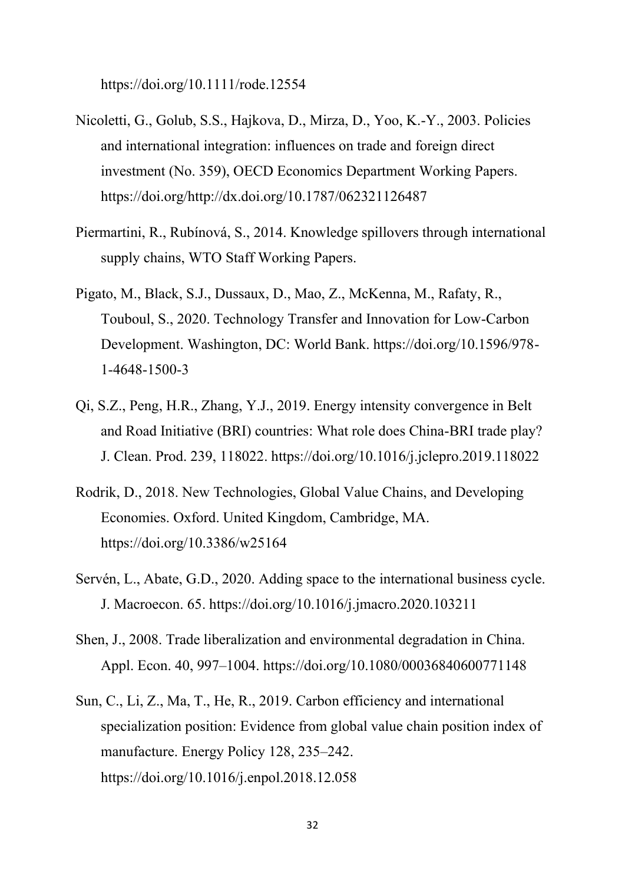https://doi.org/10.1111/rode.12554

- Nicoletti, G., Golub, S.S., Hajkova, D., Mirza, D., Yoo, K.-Y., 2003. Policies and international integration: influences on trade and foreign direct investment (No. 359), OECD Economics Department Working Papers. https://doi.org/http://dx.doi.org/10.1787/062321126487
- Piermartini, R., Rubínová, S., 2014. Knowledge spillovers through international supply chains, WTO Staff Working Papers.
- Pigato, M., Black, S.J., Dussaux, D., Mao, Z., McKenna, M., Rafaty, R., Touboul, S., 2020. Technology Transfer and Innovation for Low-Carbon Development. Washington, DC: World Bank. https://doi.org/10.1596/978- 1-4648-1500-3
- Qi, S.Z., Peng, H.R., Zhang, Y.J., 2019. Energy intensity convergence in Belt and Road Initiative (BRI) countries: What role does China-BRI trade play? J. Clean. Prod. 239, 118022. https://doi.org/10.1016/j.jclepro.2019.118022
- Rodrik, D., 2018. New Technologies, Global Value Chains, and Developing Economies. Oxford. United Kingdom, Cambridge, MA. https://doi.org/10.3386/w25164
- Servén, L., Abate, G.D., 2020. Adding space to the international business cycle. J. Macroecon. 65. https://doi.org/10.1016/j.jmacro.2020.103211
- Shen, J., 2008. Trade liberalization and environmental degradation in China. Appl. Econ. 40, 997–1004. https://doi.org/10.1080/00036840600771148
- Sun, C., Li, Z., Ma, T., He, R., 2019. Carbon efficiency and international specialization position: Evidence from global value chain position index of manufacture. Energy Policy 128, 235–242. https://doi.org/10.1016/j.enpol.2018.12.058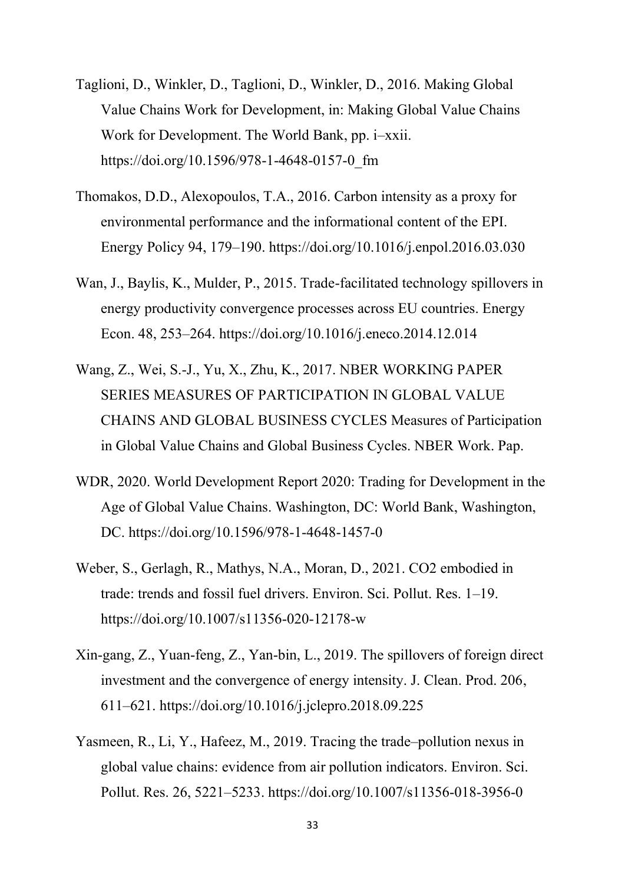- Taglioni, D., Winkler, D., Taglioni, D., Winkler, D., 2016. Making Global Value Chains Work for Development, in: Making Global Value Chains Work for Development. The World Bank, pp. i–xxii. https://doi.org/10.1596/978-1-4648-0157-0\_fm
- Thomakos, D.D., Alexopoulos, T.A., 2016. Carbon intensity as a proxy for environmental performance and the informational content of the EPI. Energy Policy 94, 179–190. https://doi.org/10.1016/j.enpol.2016.03.030
- Wan, J., Baylis, K., Mulder, P., 2015. Trade-facilitated technology spillovers in energy productivity convergence processes across EU countries. Energy Econ. 48, 253–264. https://doi.org/10.1016/j.eneco.2014.12.014
- Wang, Z., Wei, S.-J., Yu, X., Zhu, K., 2017. NBER WORKING PAPER SERIES MEASURES OF PARTICIPATION IN GLOBAL VALUE CHAINS AND GLOBAL BUSINESS CYCLES Measures of Participation in Global Value Chains and Global Business Cycles. NBER Work. Pap.
- WDR, 2020. World Development Report 2020: Trading for Development in the Age of Global Value Chains. Washington, DC: World Bank, Washington, DC. https://doi.org/10.1596/978-1-4648-1457-0
- Weber, S., Gerlagh, R., Mathys, N.A., Moran, D., 2021. CO2 embodied in trade: trends and fossil fuel drivers. Environ. Sci. Pollut. Res. 1–19. https://doi.org/10.1007/s11356-020-12178-w
- Xin-gang, Z., Yuan-feng, Z., Yan-bin, L., 2019. The spillovers of foreign direct investment and the convergence of energy intensity. J. Clean. Prod. 206, 611–621. https://doi.org/10.1016/j.jclepro.2018.09.225
- Yasmeen, R., Li, Y., Hafeez, M., 2019. Tracing the trade–pollution nexus in global value chains: evidence from air pollution indicators. Environ. Sci. Pollut. Res. 26, 5221–5233. https://doi.org/10.1007/s11356-018-3956-0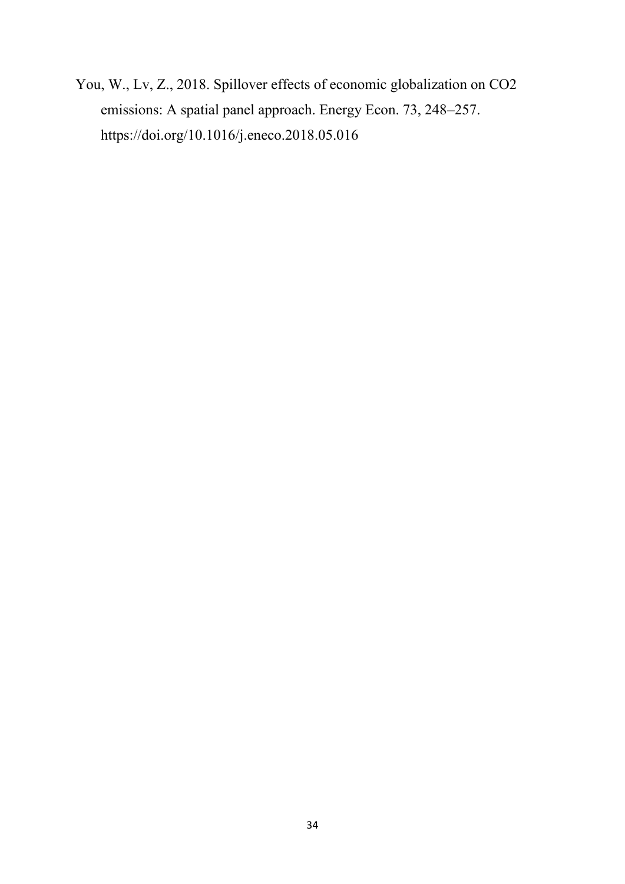You, W., Lv, Z., 2018. Spillover effects of economic globalization on CO2 emissions: A spatial panel approach. Energy Econ. 73, 248–257. https://doi.org/10.1016/j.eneco.2018.05.016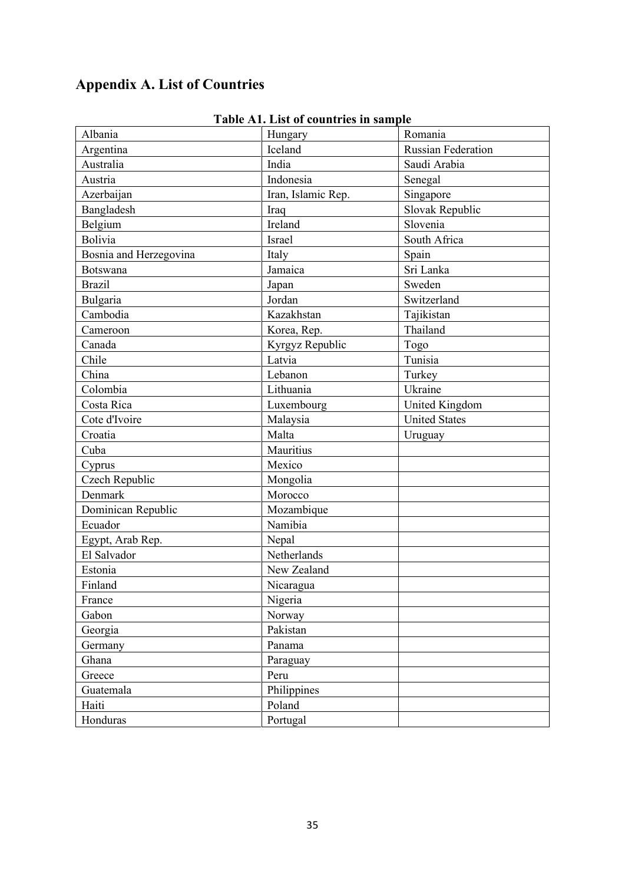# **Appendix A. List of Countries**

| Albania                | Hungary            | Romania              |
|------------------------|--------------------|----------------------|
| Argentina              | Iceland            | Russian Federation   |
| Australia              | India              | Saudi Arabia         |
| Austria                | Indonesia          | Senegal              |
| Azerbaijan             | Iran, Islamic Rep. | Singapore            |
| Bangladesh             | Iraq               | Slovak Republic      |
| Belgium                | Ireland            | Slovenia             |
| <b>Bolivia</b>         | Israel             | South Africa         |
| Bosnia and Herzegovina | Italy              | Spain                |
| <b>Botswana</b>        | Jamaica            | Sri Lanka            |
| <b>Brazil</b>          | Japan              | Sweden               |
| Bulgaria               | Jordan             | Switzerland          |
| Cambodia               | Kazakhstan         | Tajikistan           |
| Cameroon               | Korea, Rep.        | Thailand             |
| Canada                 | Kyrgyz Republic    | Togo                 |
| Chile                  | Latvia             | Tunisia              |
| China                  | Lebanon            | Turkey               |
| Colombia               | Lithuania          | Ukraine              |
| Costa Rica             | Luxembourg         | United Kingdom       |
| Cote d'Ivoire          | Malaysia           | <b>United States</b> |
| Croatia                | Malta              | Uruguay              |
| Cuba                   | Mauritius          |                      |
| Cyprus                 | Mexico             |                      |
| Czech Republic         | Mongolia           |                      |
| Denmark                | Morocco            |                      |
| Dominican Republic     | Mozambique         |                      |
| Ecuador                | Namibia            |                      |
| Egypt, Arab Rep.       | Nepal              |                      |
| El Salvador            | Netherlands        |                      |
| Estonia                | New Zealand        |                      |
| Finland                | Nicaragua          |                      |
| France                 | Nigeria            |                      |
| Gabon                  | Norway             |                      |
| Georgia                | Pakistan           |                      |
| Germany                | Panama             |                      |
| Ghana                  | Paraguay           |                      |
| Greece                 | Peru               |                      |
| Guatemala              | Philippines        |                      |
| Haiti                  | Poland             |                      |
| Honduras               | Portugal           |                      |

## **Table A1. List of countries in sample**